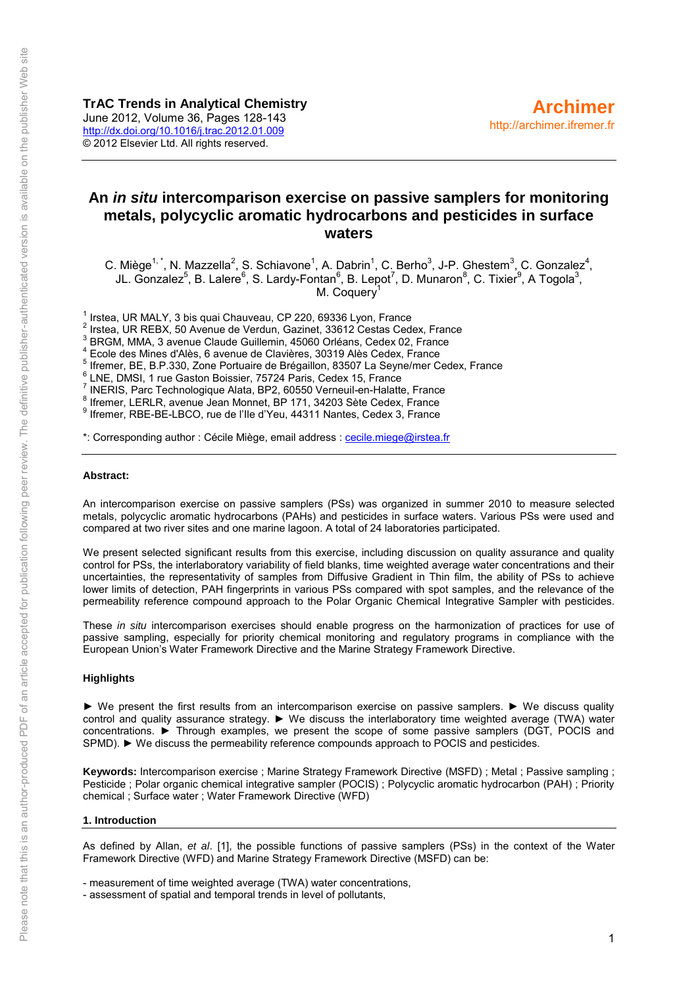# **An** *in situ* **intercomparison exercise on passive samplers for monitoring metals, polycyclic aromatic hydrocarbons and pesticides in surface waters**

C. Miège<sup>1,\*</sup>, N. Mazzella<sup>2</sup>, S. Schiavone<sup>1</sup>, A. Dabrin<sup>1</sup>, C. Berho<sup>3</sup>, J-P. Ghestem<sup>3</sup>, C. Gonzalez<sup>4</sup>, JL. Gonzalez<sup>5</sup>, B. Lalere<sup>6</sup>, S. Lardy-Fontan<sup>6</sup>, B. Lepot<sup>7</sup>, D. Munaron<sup>8</sup>, C. Tixier<sup>9</sup>, A Togola<sup>3</sup>, M. Coquery<sup>1</sup>

 $1$  Irstea, UR MALY, 3 bis quai Chauveau, CP 220, 69336 Lyon, France

 $2$  Irstea, UR REBX, 50 Avenue de Verdun, Gazinet, 33612 Cestas Cedex, France

3 BRGM, MMA, 3 avenue Claude Guillemin, 45060 Orléans, Cedex 02, France

4 Ecole des Mines d'Alès, 6 avenue de Clavières, 30319 Alès Cedex, France

<sup>5</sup> Ifremer, BE, B.P.330, Zone Portuaire de Brégaillon, 83507 La Seyne/mer Cedex, France

6 LNE, DMSI, 1 rue Gaston Boissier, 75724 Paris, Cedex 15, France

 $\frac{7}{1}$  INERIS, Parc Technologique Alata, BP2, 60550 Verneuil-en-Halatte, France

8 Ifremer, LERLR, avenue Jean Monnet, BP 171, 34203 Sète Cedex, France

<sup>9</sup> Ifremer, RBE-BE-LBCO, rue de l'Ile d'Yeu, 44311 Nantes, Cedex 3, France

\*: Corresponding author : Cécile Miège, email address [: cecile.miege@irstea.fr](mailto:cecile.miege@irstea.fr) 

#### **Abstract:**

An intercomparison exercise on passive samplers (PSs) was organized in summer 2010 to measure selected metals, polycyclic aromatic hydrocarbons (PAHs) and pesticides in surface waters. Various PSs were used and compared at two river sites and one marine lagoon. A total of 24 laboratories participated.

We present selected significant results from this exercise, including discussion on quality assurance and quality control for PSs, the interlaboratory variability of field blanks, time weighted average water concentrations and their uncertainties, the representativity of samples from Diffusive Gradient in Thin film, the ability of PSs to achieve lower limits of detection, PAH fingerprints in various PSs compared with spot samples, and the relevance of the permeability reference compound approach to the Polar Organic Chemical Integrative Sampler with pesticides.

These *in situ* intercomparison exercises should enable progress on the harmonization of practices for use of passive sampling, especially for priority chemical monitoring and regulatory programs in compliance with the European Union's Water Framework Directive and the Marine Strategy Framework Directive.

#### **Highlights**

► We present the first results from an intercomparison exercise on passive samplers. ► We discuss quality control and quality assurance strategy. ► We discuss the interlaboratory time weighted average (TWA) water concentrations. ► Through examples, we present the scope of some passive samplers (DGT, POCIS and SPMD). ► We discuss the permeability reference compounds approach to POCIS and pesticides.

**Keywords:** Intercomparison exercise ; Marine Strategy Framework Directive (MSFD) ; Metal ; Passive sampling ; Pesticide ; Polar organic chemical integrative sampler (POCIS) ; Polycyclic aromatic hydrocarbon (PAH) ; Priority chemical ; Surface water ; Water Framework Directive (WFD)

#### **1. Introduction**

As defined by Allan, *et al*. [1], the possible functions of passive samplers (PSs) in the context of the Water Framework Directive (WFD) and Marine Strategy Framework Directive (MSFD) can be:

- measurement of time weighted average (TWA) water concentrations,

- assessment of spatial and temporal trends in level of pollutants,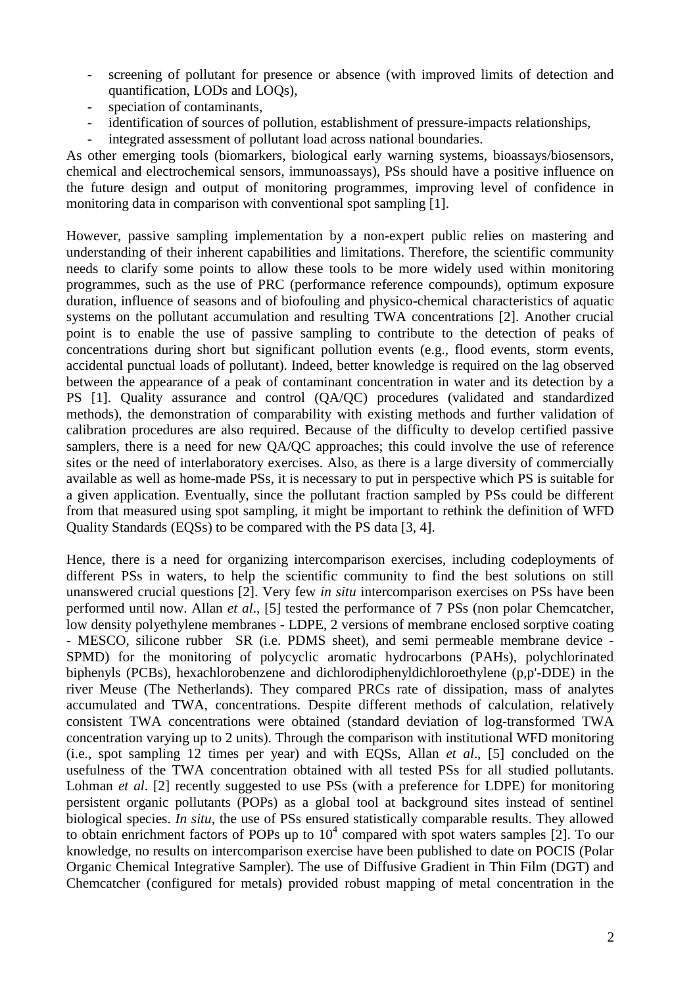- screening of pollutant for presence or absence (with improved limits of detection and quantification, LODs and LOQs),
- speciation of contaminants,
- identification of sources of pollution, establishment of pressure-impacts relationships,
- integrated assessment of pollutant load across national boundaries.

As other emerging tools (biomarkers, biological early warning systems, bioassays/biosensors, chemical and electrochemical sensors, immunoassays), PSs should have a positive influence on the future design and output of monitoring programmes, improving level of confidence in monitoring data in comparison with conventional spot sampling [1].

However, passive sampling implementation by a non-expert public relies on mastering and understanding of their inherent capabilities and limitations. Therefore, the scientific community needs to clarify some points to allow these tools to be more widely used within monitoring programmes, such as the use of PRC (performance reference compounds), optimum exposure duration, influence of seasons and of biofouling and physico-chemical characteristics of aquatic systems on the pollutant accumulation and resulting TWA concentrations [2]. Another crucial point is to enable the use of passive sampling to contribute to the detection of peaks of concentrations during short but significant pollution events (e.g., flood events, storm events, accidental punctual loads of pollutant). Indeed, better knowledge is required on the lag observed between the appearance of a peak of contaminant concentration in water and its detection by a PS [1]. Quality assurance and control (QA/QC) procedures (validated and standardized methods), the demonstration of comparability with existing methods and further validation of calibration procedures are also required. Because of the difficulty to develop certified passive samplers, there is a need for new OA/OC approaches; this could involve the use of reference sites or the need of interlaboratory exercises. Also, as there is a large diversity of commercially available as well as home-made PSs, it is necessary to put in perspective which PS is suitable for a given application. Eventually, since the pollutant fraction sampled by PSs could be different from that measured using spot sampling, it might be important to rethink the definition of WFD Quality Standards (EQSs) to be compared with the PS data [3, 4].

Hence, there is a need for organizing intercomparison exercises, including codeployments of different PSs in waters, to help the scientific community to find the best solutions on still unanswered crucial questions [2]. Very few *in situ* intercomparison exercises on PSs have been performed until now. Allan *et al*., [5] tested the performance of 7 PSs (non polar Chemcatcher, low density polyethylene membranes - LDPE, 2 versions of membrane enclosed sorptive coating - MESCO, silicone rubber SR (i.e. PDMS sheet), and semi permeable membrane device - SPMD) for the monitoring of polycyclic aromatic hydrocarbons (PAHs), polychlorinated biphenyls (PCBs), hexachlorobenzene and dichlorodiphenyldichloroethylene (p,p'-DDE) in the river Meuse (The Netherlands). They compared PRCs rate of dissipation, mass of analytes accumulated and TWA, concentrations. Despite different methods of calculation, relatively consistent TWA concentrations were obtained (standard deviation of log-transformed TWA concentration varying up to 2 units). Through the comparison with institutional WFD monitoring (i.e., spot sampling 12 times per year) and with EQSs, Allan *et al*., [5] concluded on the usefulness of the TWA concentration obtained with all tested PSs for all studied pollutants. Lohman *et al.* [2] recently suggested to use PSs (with a preference for LDPE) for monitoring persistent organic pollutants (POPs) as a global tool at background sites instead of sentinel biological species. *In situ*, the use of PSs ensured statistically comparable results. They allowed to obtain enrichment factors of POPs up to  $10<sup>4</sup>$  compared with spot waters samples [2]. To our knowledge, no results on intercomparison exercise have been published to date on POCIS (Polar Organic Chemical Integrative Sampler). The use of Diffusive Gradient in Thin Film (DGT) and Chemcatcher (configured for metals) provided robust mapping of metal concentration in the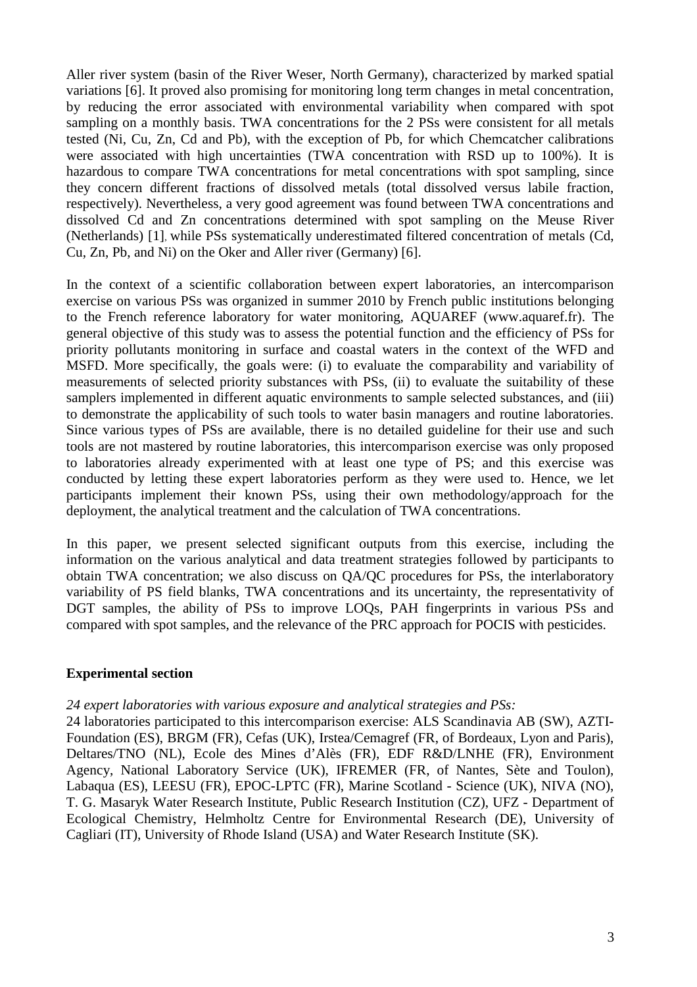Aller river system (basin of the River Weser, North Germany), characterized by marked spatial variations [6]. It proved also promising for monitoring long term changes in metal concentration, by reducing the error associated with environmental variability when compared with spot sampling on a monthly basis. TWA concentrations for the 2 PSs were consistent for all metals tested (Ni, Cu, Zn, Cd and Pb), with the exception of Pb, for which Chemcatcher calibrations were associated with high uncertainties (TWA concentration with RSD up to 100%). It is hazardous to compare TWA concentrations for metal concentrations with spot sampling, since they concern different fractions of dissolved metals (total dissolved versus labile fraction, respectively). Nevertheless, a very good agreement was found between TWA concentrations and dissolved Cd and Zn concentrations determined with spot sampling on the Meuse River (Netherlands) [1], while PSs systematically underestimated filtered concentration of metals (Cd, Cu, Zn, Pb, and Ni) on the Oker and Aller river (Germany) [6].

In the context of a scientific collaboration between expert laboratories, an intercomparison exercise on various PSs was organized in summer 2010 by French public institutions belonging to the French reference laboratory for water monitoring, AQUAREF (www.aquaref.fr). The general objective of this study was to assess the potential function and the efficiency of PSs for priority pollutants monitoring in surface and coastal waters in the context of the WFD and MSFD. More specifically, the goals were: (i) to evaluate the comparability and variability of measurements of selected priority substances with PSs, (ii) to evaluate the suitability of these samplers implemented in different aquatic environments to sample selected substances, and (iii) to demonstrate the applicability of such tools to water basin managers and routine laboratories. Since various types of PSs are available, there is no detailed guideline for their use and such tools are not mastered by routine laboratories, this intercomparison exercise was only proposed to laboratories already experimented with at least one type of PS; and this exercise was conducted by letting these expert laboratories perform as they were used to. Hence, we let participants implement their known PSs, using their own methodology/approach for the deployment, the analytical treatment and the calculation of TWA concentrations.

In this paper, we present selected significant outputs from this exercise, including the information on the various analytical and data treatment strategies followed by participants to obtain TWA concentration; we also discuss on QA/QC procedures for PSs, the interlaboratory variability of PS field blanks, TWA concentrations and its uncertainty, the representativity of DGT samples, the ability of PSs to improve LOQs, PAH fingerprints in various PSs and compared with spot samples, and the relevance of the PRC approach for POCIS with pesticides.

### **Experimental section**

### *24 expert laboratories with various exposure and analytical strategies and PSs:*

24 laboratories participated to this intercomparison exercise: ALS Scandinavia AB (SW), AZTI-Foundation (ES), BRGM (FR), Cefas (UK), Irstea/Cemagref (FR, of Bordeaux, Lyon and Paris), Deltares/TNO (NL), Ecole des Mines d'Alès (FR), EDF R&D/LNHE (FR), Environment Agency, National Laboratory Service (UK), IFREMER (FR, of Nantes, Sète and Toulon), Labaqua (ES), LEESU (FR), EPOC-LPTC (FR), Marine Scotland - Science (UK), NIVA (NO), T. G. Masaryk Water Research Institute, Public Research Institution (CZ), UFZ - Department of Ecological Chemistry, Helmholtz Centre for Environmental Research (DE), University of Cagliari (IT), University of Rhode Island (USA) and Water Research Institute (SK).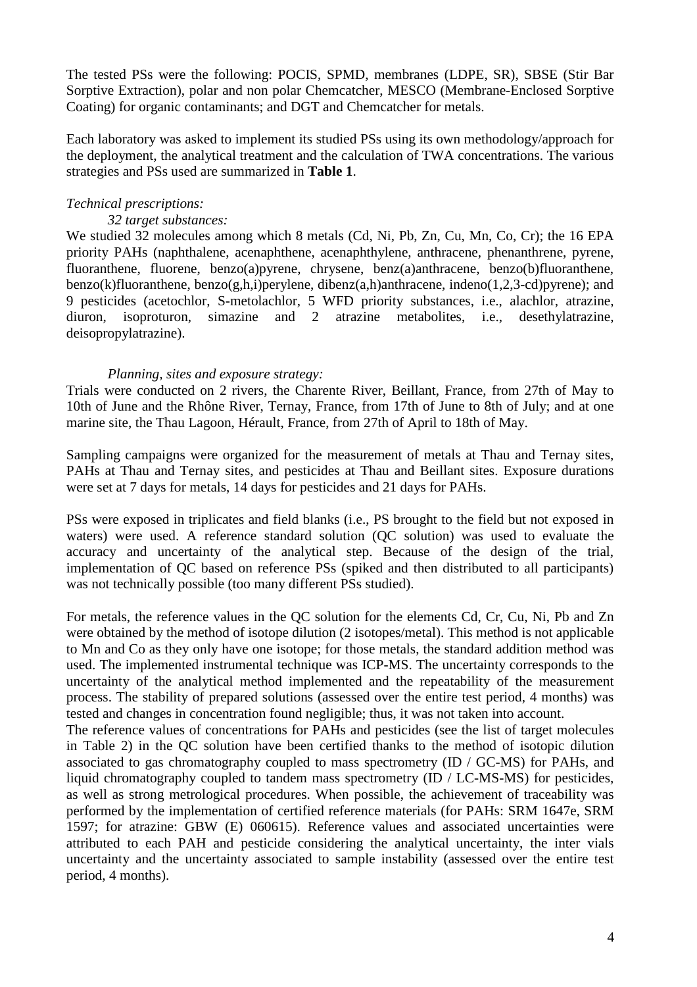The tested PSs were the following: POCIS, SPMD, membranes (LDPE, SR), SBSE (Stir Bar Sorptive Extraction), polar and non polar Chemcatcher, MESCO (Membrane-Enclosed Sorptive Coating) for organic contaminants; and DGT and Chemcatcher for metals.

Each laboratory was asked to implement its studied PSs using its own methodology/approach for the deployment, the analytical treatment and the calculation of TWA concentrations. The various strategies and PSs used are summarized in **Table 1**.

## *Technical prescriptions:*

### *32 target substances:*

We studied 32 molecules among which 8 metals (Cd, Ni, Pb, Zn, Cu, Mn, Co, Cr); the 16 EPA priority PAHs (naphthalene, acenaphthene, acenaphthylene, anthracene, phenanthrene, pyrene, fluoranthene, fluorene, benzo(a)pyrene, chrysene, benz(a)anthracene, benzo(b)fluoranthene, benzo(k)fluoranthene, benzo(g,h,i)perylene, dibenz(a,h)anthracene, indeno(1,2,3-cd)pyrene); and 9 pesticides (acetochlor, S-metolachlor, 5 WFD priority substances, i.e., alachlor, atrazine, diuron, isoproturon, simazine and 2 atrazine metabolites, i.e., desethylatrazine, deisopropylatrazine).

### *Planning, sites and exposure strategy:*

Trials were conducted on 2 rivers, the Charente River, Beillant, France, from 27th of May to 10th of June and the Rhône River, Ternay, France, from 17th of June to 8th of July; and at one marine site, the Thau Lagoon, Hérault, France, from 27th of April to 18th of May.

Sampling campaigns were organized for the measurement of metals at Thau and Ternay sites, PAHs at Thau and Ternay sites, and pesticides at Thau and Beillant sites. Exposure durations were set at 7 days for metals, 14 days for pesticides and 21 days for PAHs.

PSs were exposed in triplicates and field blanks (i.e., PS brought to the field but not exposed in waters) were used. A reference standard solution (OC solution) was used to evaluate the accuracy and uncertainty of the analytical step. Because of the design of the trial, implementation of QC based on reference PSs (spiked and then distributed to all participants) was not technically possible (too many different PSs studied).

For metals, the reference values in the QC solution for the elements Cd, Cr, Cu, Ni, Pb and Zn were obtained by the method of isotope dilution (2 isotopes/metal). This method is not applicable to Mn and Co as they only have one isotope; for those metals, the standard addition method was used. The implemented instrumental technique was ICP-MS. The uncertainty corresponds to the uncertainty of the analytical method implemented and the repeatability of the measurement process. The stability of prepared solutions (assessed over the entire test period, 4 months) was tested and changes in concentration found negligible; thus, it was not taken into account.

The reference values of concentrations for PAHs and pesticides (see the list of target molecules in Table 2) in the QC solution have been certified thanks to the method of isotopic dilution associated to gas chromatography coupled to mass spectrometry (ID / GC-MS) for PAHs, and liquid chromatography coupled to tandem mass spectrometry (ID / LC-MS-MS) for pesticides, as well as strong metrological procedures. When possible, the achievement of traceability was performed by the implementation of certified reference materials (for PAHs: SRM 1647e, SRM 1597; for atrazine: GBW (E) 060615). Reference values and associated uncertainties were attributed to each PAH and pesticide considering the analytical uncertainty, the inter vials uncertainty and the uncertainty associated to sample instability (assessed over the entire test period, 4 months).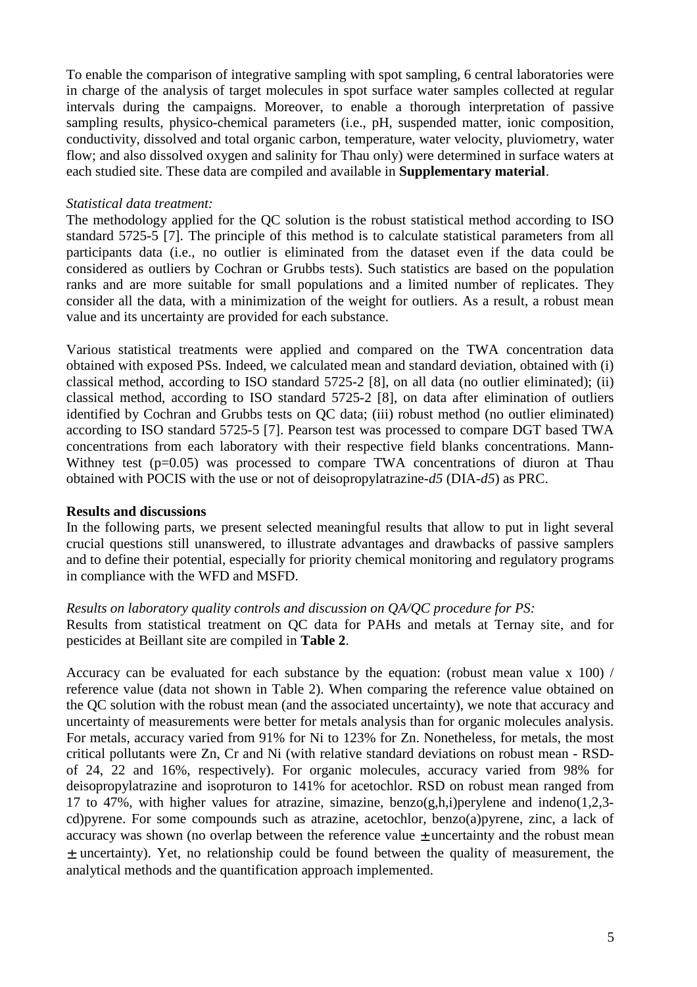To enable the comparison of integrative sampling with spot sampling, 6 central laboratories were in charge of the analysis of target molecules in spot surface water samples collected at regular intervals during the campaigns. Moreover, to enable a thorough interpretation of passive sampling results, physico-chemical parameters (i.e., pH, suspended matter, ionic composition, conductivity, dissolved and total organic carbon, temperature, water velocity, pluviometry, water flow; and also dissolved oxygen and salinity for Thau only) were determined in surface waters at each studied site. These data are compiled and available in **Supplementary material**.

## *Statistical data treatment:*

The methodology applied for the QC solution is the robust statistical method according to ISO standard 5725-5 [7]. The principle of this method is to calculate statistical parameters from all participants data (i.e., no outlier is eliminated from the dataset even if the data could be considered as outliers by Cochran or Grubbs tests). Such statistics are based on the population ranks and are more suitable for small populations and a limited number of replicates. They consider all the data, with a minimization of the weight for outliers. As a result, a robust mean value and its uncertainty are provided for each substance.

Various statistical treatments were applied and compared on the TWA concentration data obtained with exposed PSs. Indeed, we calculated mean and standard deviation, obtained with (i) classical method, according to ISO standard 5725-2 [8], on all data (no outlier eliminated); (ii) classical method, according to ISO standard 5725-2 [8], on data after elimination of outliers identified by Cochran and Grubbs tests on QC data; (iii) robust method (no outlier eliminated) according to ISO standard 5725-5 [7]. Pearson test was processed to compare DGT based TWA concentrations from each laboratory with their respective field blanks concentrations. Mann-Withney test  $(p=0.05)$  was processed to compare TWA concentrations of diuron at Thau obtained with POCIS with the use or not of deisopropylatrazine-*d5* (DIA-*d5*) as PRC.

### **Results and discussions**

In the following parts, we present selected meaningful results that allow to put in light several crucial questions still unanswered, to illustrate advantages and drawbacks of passive samplers and to define their potential, especially for priority chemical monitoring and regulatory programs in compliance with the WFD and MSFD.

### *Results on laboratory quality controls and discussion on QA/QC procedure for PS:*

Results from statistical treatment on QC data for PAHs and metals at Ternay site, and for pesticides at Beillant site are compiled in **Table 2**.

Accuracy can be evaluated for each substance by the equation: (robust mean value x 100) / reference value (data not shown in Table 2). When comparing the reference value obtained on the QC solution with the robust mean (and the associated uncertainty), we note that accuracy and uncertainty of measurements were better for metals analysis than for organic molecules analysis. For metals, accuracy varied from 91% for Ni to 123% for Zn. Nonetheless, for metals, the most critical pollutants were Zn, Cr and Ni (with relative standard deviations on robust mean - RSDof 24, 22 and 16%, respectively). For organic molecules, accuracy varied from 98% for deisopropylatrazine and isoproturon to 141% for acetochlor. RSD on robust mean ranged from 17 to 47%, with higher values for atrazine, simazine, benzo(g,h,i)perylene and indeno(1,2,3cd)pyrene. For some compounds such as atrazine, acetochlor, benzo(a)pyrene, zinc, a lack of accuracy was shown (no overlap between the reference value ± uncertainty and the robust mean ± uncertainty). Yet, no relationship could be found between the quality of measurement, the analytical methods and the quantification approach implemented.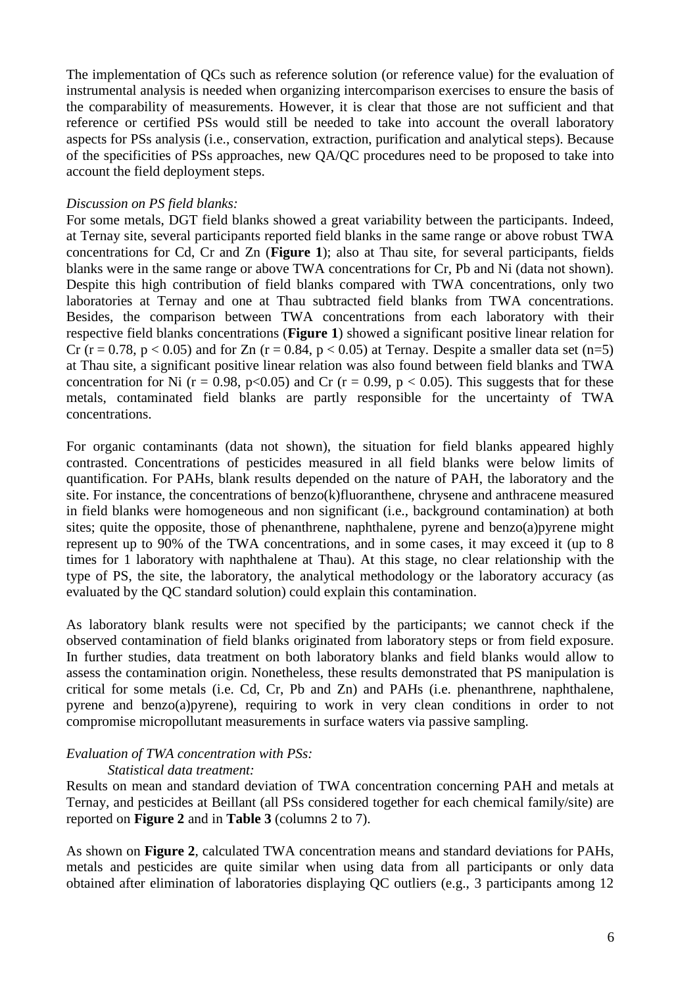The implementation of QCs such as reference solution (or reference value) for the evaluation of instrumental analysis is needed when organizing intercomparison exercises to ensure the basis of the comparability of measurements. However, it is clear that those are not sufficient and that reference or certified PSs would still be needed to take into account the overall laboratory aspects for PSs analysis (i.e., conservation, extraction, purification and analytical steps). Because of the specificities of PSs approaches, new QA/QC procedures need to be proposed to take into account the field deployment steps.

### *Discussion on PS field blanks:*

For some metals, DGT field blanks showed a great variability between the participants. Indeed, at Ternay site, several participants reported field blanks in the same range or above robust TWA concentrations for Cd, Cr and Zn (**Figure 1**); also at Thau site, for several participants, fields blanks were in the same range or above TWA concentrations for Cr, Pb and Ni (data not shown). Despite this high contribution of field blanks compared with TWA concentrations, only two laboratories at Ternay and one at Thau subtracted field blanks from TWA concentrations. Besides, the comparison between TWA concentrations from each laboratory with their respective field blanks concentrations (**Figure 1**) showed a significant positive linear relation for Cr (r = 0.78, p < 0.05) and for Zn (r = 0.84, p < 0.05) at Ternay. Despite a smaller data set (n=5) at Thau site, a significant positive linear relation was also found between field blanks and TWA concentration for Ni ( $r = 0.98$ ,  $p < 0.05$ ) and Cr ( $r = 0.99$ ,  $p < 0.05$ ). This suggests that for these metals, contaminated field blanks are partly responsible for the uncertainty of TWA concentrations.

For organic contaminants (data not shown), the situation for field blanks appeared highly contrasted. Concentrations of pesticides measured in all field blanks were below limits of quantification. For PAHs, blank results depended on the nature of PAH, the laboratory and the site. For instance, the concentrations of benzo(k)fluoranthene, chrysene and anthracene measured in field blanks were homogeneous and non significant (i.e., background contamination) at both sites; quite the opposite, those of phenanthrene, naphthalene, pyrene and benzo(a)pyrene might represent up to 90% of the TWA concentrations, and in some cases, it may exceed it (up to 8 times for 1 laboratory with naphthalene at Thau). At this stage, no clear relationship with the type of PS, the site, the laboratory, the analytical methodology or the laboratory accuracy (as evaluated by the QC standard solution) could explain this contamination.

As laboratory blank results were not specified by the participants; we cannot check if the observed contamination of field blanks originated from laboratory steps or from field exposure. In further studies, data treatment on both laboratory blanks and field blanks would allow to assess the contamination origin. Nonetheless, these results demonstrated that PS manipulation is critical for some metals (i.e. Cd, Cr, Pb and Zn) and PAHs (i.e. phenanthrene, naphthalene, pyrene and benzo(a)pyrene), requiring to work in very clean conditions in order to not compromise micropollutant measurements in surface waters via passive sampling.

# *Evaluation of TWA concentration with PSs:*

### *Statistical data treatment:*

Results on mean and standard deviation of TWA concentration concerning PAH and metals at Ternay, and pesticides at Beillant (all PSs considered together for each chemical family/site) are reported on **Figure 2** and in **Table 3** (columns 2 to 7).

As shown on **Figure 2**, calculated TWA concentration means and standard deviations for PAHs, metals and pesticides are quite similar when using data from all participants or only data obtained after elimination of laboratories displaying QC outliers (e.g., 3 participants among 12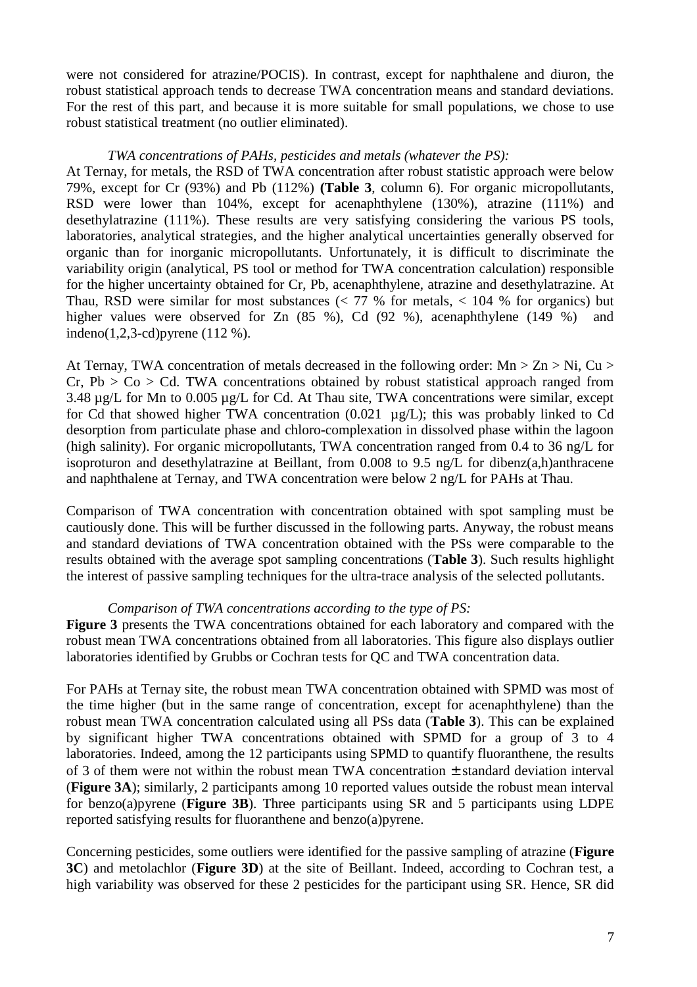were not considered for atrazine/POCIS). In contrast, except for naphthalene and diuron, the robust statistical approach tends to decrease TWA concentration means and standard deviations. For the rest of this part, and because it is more suitable for small populations, we chose to use robust statistical treatment (no outlier eliminated).

### *TWA concentrations of PAHs, pesticides and metals (whatever the PS):*

At Ternay, for metals, the RSD of TWA concentration after robust statistic approach were below 79%, except for Cr (93%) and Pb (112%) **(Table 3**, column 6). For organic micropollutants, RSD were lower than 104%, except for acenaphthylene (130%), atrazine (111%) and desethylatrazine (111%). These results are very satisfying considering the various PS tools, laboratories, analytical strategies, and the higher analytical uncertainties generally observed for organic than for inorganic micropollutants. Unfortunately, it is difficult to discriminate the variability origin (analytical, PS tool or method for TWA concentration calculation) responsible for the higher uncertainty obtained for Cr, Pb, acenaphthylene, atrazine and desethylatrazine. At Thau, RSD were similar for most substances  $\langle \langle 77, 9 \rangle$  for metals,  $\langle 104, 9 \rangle$  for organics) but higher values were observed for Zn  $(85 \%)$ , Cd  $(92 \%)$ , acenaphthylene  $(149 \%)$  and indeno(1,2,3-cd)pyrene (112 %).

At Ternay, TWA concentration of metals decreased in the following order: Mn  $> Zn > Ni$ , Cu  $>$  $Cr, Pb > Co > Cd. TWA concentrations obtained by robust statistical approach ranged from$ 3.48  $\mu$ g/L for Mn to 0.005  $\mu$ g/L for Cd. At Thau site, TWA concentrations were similar, except for Cd that showed higher TWA concentration (0.021 µg/L); this was probably linked to Cd desorption from particulate phase and chloro-complexation in dissolved phase within the lagoon (high salinity). For organic micropollutants, TWA concentration ranged from 0.4 to 36 ng/L for isoproturon and desethylatrazine at Beillant, from 0.008 to 9.5 ng/L for dibenz(a,h)anthracene and naphthalene at Ternay, and TWA concentration were below 2 ng/L for PAHs at Thau.

Comparison of TWA concentration with concentration obtained with spot sampling must be cautiously done. This will be further discussed in the following parts. Anyway, the robust means and standard deviations of TWA concentration obtained with the PSs were comparable to the results obtained with the average spot sampling concentrations (**Table 3**). Such results highlight the interest of passive sampling techniques for the ultra-trace analysis of the selected pollutants.

### *Comparison of TWA concentrations according to the type of PS:*

**Figure 3** presents the TWA concentrations obtained for each laboratory and compared with the robust mean TWA concentrations obtained from all laboratories. This figure also displays outlier laboratories identified by Grubbs or Cochran tests for QC and TWA concentration data.

For PAHs at Ternay site, the robust mean TWA concentration obtained with SPMD was most of the time higher (but in the same range of concentration, except for acenaphthylene) than the robust mean TWA concentration calculated using all PSs data (**Table 3**). This can be explained by significant higher TWA concentrations obtained with SPMD for a group of 3 to 4 laboratories. Indeed, among the 12 participants using SPMD to quantify fluoranthene, the results of 3 of them were not within the robust mean TWA concentration ± standard deviation interval (**Figure 3A**); similarly, 2 participants among 10 reported values outside the robust mean interval for benzo(a)pyrene (**Figure 3B**). Three participants using SR and 5 participants using LDPE reported satisfying results for fluoranthene and benzo(a)pyrene.

Concerning pesticides, some outliers were identified for the passive sampling of atrazine (**Figure 3C**) and metolachlor (**Figure 3D**) at the site of Beillant. Indeed, according to Cochran test, a high variability was observed for these 2 pesticides for the participant using SR. Hence, SR did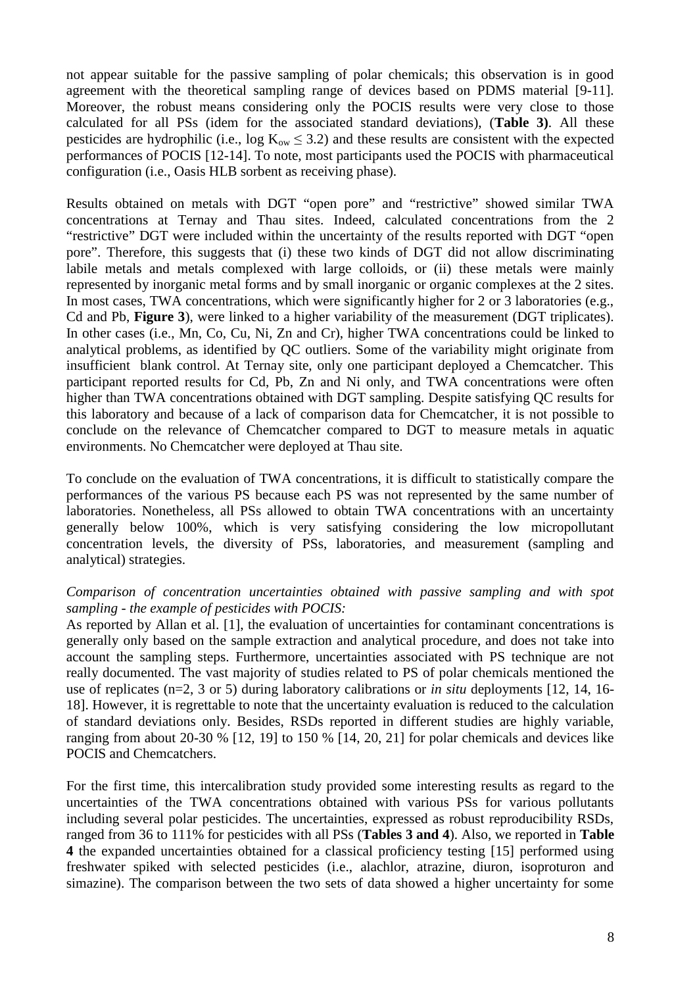not appear suitable for the passive sampling of polar chemicals; this observation is in good agreement with the theoretical sampling range of devices based on PDMS material [9-11]. Moreover, the robust means considering only the POCIS results were very close to those calculated for all PSs (idem for the associated standard deviations), (**Table 3)**. All these pesticides are hydrophilic (i.e.,  $\log K_{ow} \leq 3.2$ ) and these results are consistent with the expected performances of POCIS [12-14]. To note, most participants used the POCIS with pharmaceutical configuration (i.e., Oasis HLB sorbent as receiving phase).

Results obtained on metals with DGT "open pore" and "restrictive" showed similar TWA concentrations at Ternay and Thau sites. Indeed, calculated concentrations from the 2 "restrictive" DGT were included within the uncertainty of the results reported with DGT "open pore". Therefore, this suggests that (i) these two kinds of DGT did not allow discriminating labile metals and metals complexed with large colloids, or (ii) these metals were mainly represented by inorganic metal forms and by small inorganic or organic complexes at the 2 sites. In most cases, TWA concentrations, which were significantly higher for 2 or 3 laboratories (e.g., Cd and Pb, **Figure 3**), were linked to a higher variability of the measurement (DGT triplicates). In other cases (i.e., Mn, Co, Cu, Ni, Zn and Cr), higher TWA concentrations could be linked to analytical problems, as identified by QC outliers. Some of the variability might originate from insufficient blank control. At Ternay site, only one participant deployed a Chemcatcher. This participant reported results for Cd, Pb, Zn and Ni only, and TWA concentrations were often higher than TWA concentrations obtained with DGT sampling. Despite satisfying QC results for this laboratory and because of a lack of comparison data for Chemcatcher, it is not possible to conclude on the relevance of Chemcatcher compared to DGT to measure metals in aquatic environments. No Chemcatcher were deployed at Thau site.

To conclude on the evaluation of TWA concentrations, it is difficult to statistically compare the performances of the various PS because each PS was not represented by the same number of laboratories. Nonetheless, all PSs allowed to obtain TWA concentrations with an uncertainty generally below 100%, which is very satisfying considering the low micropollutant concentration levels, the diversity of PSs, laboratories, and measurement (sampling and analytical) strategies.

### *Comparison of concentration uncertainties obtained with passive sampling and with spot sampling - the example of pesticides with POCIS:*

As reported by Allan et al. [1], the evaluation of uncertainties for contaminant concentrations is generally only based on the sample extraction and analytical procedure, and does not take into account the sampling steps. Furthermore, uncertainties associated with PS technique are not really documented. The vast majority of studies related to PS of polar chemicals mentioned the use of replicates (n=2, 3 or 5) during laboratory calibrations or *in situ* deployments [12, 14, 16- 18]. However, it is regrettable to note that the uncertainty evaluation is reduced to the calculation of standard deviations only. Besides, RSDs reported in different studies are highly variable, ranging from about 20-30 % [12, 19] to 150 % [14, 20, 21] for polar chemicals and devices like POCIS and Chemcatchers.

For the first time, this intercalibration study provided some interesting results as regard to the uncertainties of the TWA concentrations obtained with various PSs for various pollutants including several polar pesticides. The uncertainties, expressed as robust reproducibility RSDs, ranged from 36 to 111% for pesticides with all PSs (**Tables 3 and 4**). Also, we reported in **Table 4** the expanded uncertainties obtained for a classical proficiency testing [15] performed using freshwater spiked with selected pesticides (i.e., alachlor, atrazine, diuron, isoproturon and simazine). The comparison between the two sets of data showed a higher uncertainty for some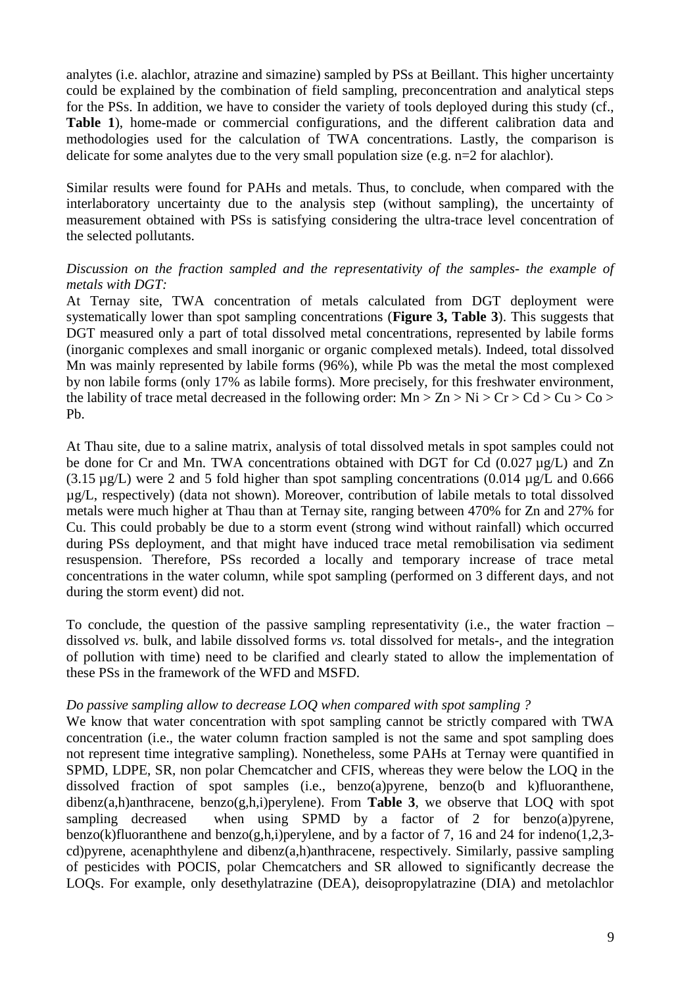analytes (i.e. alachlor, atrazine and simazine) sampled by PSs at Beillant. This higher uncertainty could be explained by the combination of field sampling, preconcentration and analytical steps for the PSs. In addition, we have to consider the variety of tools deployed during this study (cf., **Table 1**), home-made or commercial configurations, and the different calibration data and methodologies used for the calculation of TWA concentrations. Lastly, the comparison is delicate for some analytes due to the very small population size (e.g. n=2 for alachlor).

Similar results were found for PAHs and metals. Thus, to conclude, when compared with the interlaboratory uncertainty due to the analysis step (without sampling), the uncertainty of measurement obtained with PSs is satisfying considering the ultra-trace level concentration of the selected pollutants.

## *Discussion on the fraction sampled and the representativity of the samples- the example of metals with DGT:*

At Ternay site, TWA concentration of metals calculated from DGT deployment were systematically lower than spot sampling concentrations (**Figure 3, Table 3**). This suggests that DGT measured only a part of total dissolved metal concentrations, represented by labile forms (inorganic complexes and small inorganic or organic complexed metals). Indeed, total dissolved Mn was mainly represented by labile forms (96%), while Pb was the metal the most complexed by non labile forms (only 17% as labile forms). More precisely, for this freshwater environment, the lability of trace metal decreased in the following order:  $Mn > Zn > Ni > Cr > Cd > Cu > Co >$ Pb.

At Thau site, due to a saline matrix, analysis of total dissolved metals in spot samples could not be done for Cr and Mn. TWA concentrations obtained with DGT for Cd (0.027 µg/L) and Zn  $(3.15 \,\mu$ g/L) were 2 and 5 fold higher than spot sampling concentrations  $(0.014 \,\mu$ g/L and 0.666 µg/L, respectively) (data not shown). Moreover, contribution of labile metals to total dissolved metals were much higher at Thau than at Ternay site, ranging between 470% for Zn and 27% for Cu. This could probably be due to a storm event (strong wind without rainfall) which occurred during PSs deployment, and that might have induced trace metal remobilisation via sediment resuspension. Therefore, PSs recorded a locally and temporary increase of trace metal concentrations in the water column, while spot sampling (performed on 3 different days, and not during the storm event) did not.

To conclude, the question of the passive sampling representativity (i.e., the water fraction – dissolved *vs.* bulk, and labile dissolved forms *vs.* total dissolved for metals-, and the integration of pollution with time) need to be clarified and clearly stated to allow the implementation of these PSs in the framework of the WFD and MSFD.

### *Do passive sampling allow to decrease LOQ when compared with spot sampling ?*

We know that water concentration with spot sampling cannot be strictly compared with TWA concentration (i.e., the water column fraction sampled is not the same and spot sampling does not represent time integrative sampling). Nonetheless, some PAHs at Ternay were quantified in SPMD, LDPE, SR, non polar Chemcatcher and CFIS, whereas they were below the LOQ in the dissolved fraction of spot samples (i.e., benzo(a)pyrene, benzo(b and k)fluoranthene, dibenz(a,h)anthracene, benzo(g,h,i)perylene). From **Table 3**, we observe that LOQ with spot sampling decreased when using SPMD by a factor of 2 for benzo(a)pyrene, benzo(k)fluoranthene and benzo(g,h,i)perylene, and by a factor of 7, 16 and 24 for indeno(1,2,3cd)pyrene, acenaphthylene and dibenz(a,h)anthracene, respectively. Similarly, passive sampling of pesticides with POCIS, polar Chemcatchers and SR allowed to significantly decrease the LOQs. For example, only desethylatrazine (DEA), deisopropylatrazine (DIA) and metolachlor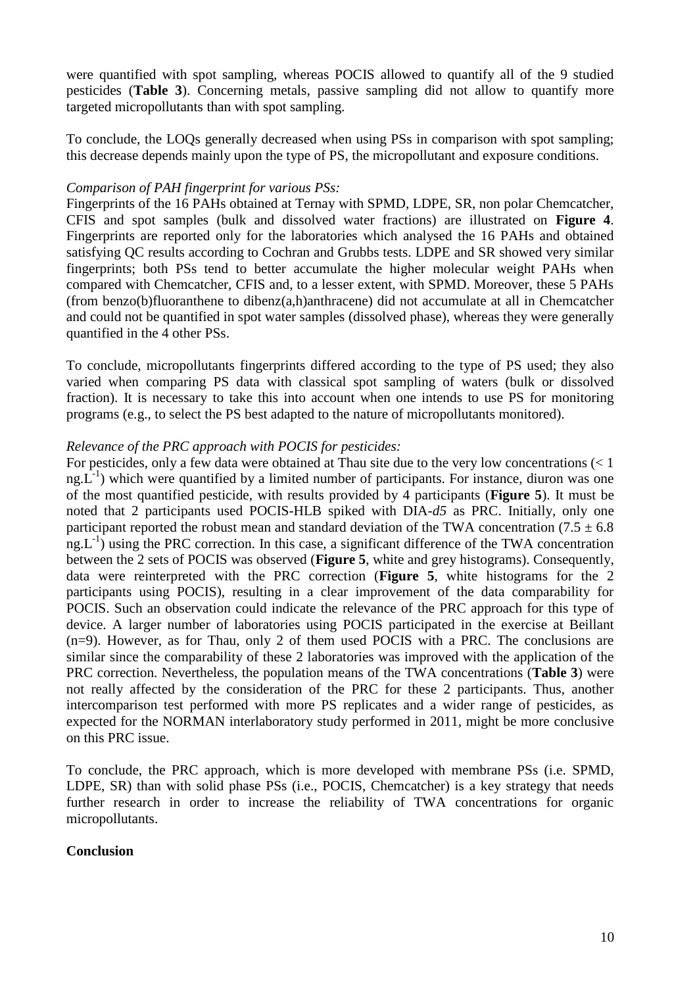were quantified with spot sampling, whereas POCIS allowed to quantify all of the 9 studied pesticides (**Table 3**). Concerning metals, passive sampling did not allow to quantify more targeted micropollutants than with spot sampling.

To conclude, the LOQs generally decreased when using PSs in comparison with spot sampling; this decrease depends mainly upon the type of PS, the micropollutant and exposure conditions.

### *Comparison of PAH fingerprint for various PSs:*

Fingerprints of the 16 PAHs obtained at Ternay with SPMD, LDPE, SR, non polar Chemcatcher, CFIS and spot samples (bulk and dissolved water fractions) are illustrated on **Figure 4**. Fingerprints are reported only for the laboratories which analysed the 16 PAHs and obtained satisfying QC results according to Cochran and Grubbs tests. LDPE and SR showed very similar fingerprints; both PSs tend to better accumulate the higher molecular weight PAHs when compared with Chemcatcher, CFIS and, to a lesser extent, with SPMD. Moreover, these 5 PAHs (from benzo(b)fluoranthene to dibenz(a,h)anthracene) did not accumulate at all in Chemcatcher and could not be quantified in spot water samples (dissolved phase), whereas they were generally quantified in the 4 other PSs.

To conclude, micropollutants fingerprints differed according to the type of PS used; they also varied when comparing PS data with classical spot sampling of waters (bulk or dissolved fraction). It is necessary to take this into account when one intends to use PS for monitoring programs (e.g., to select the PS best adapted to the nature of micropollutants monitored).

### *Relevance of the PRC approach with POCIS for pesticides:*

For pesticides, only a few data were obtained at Thau site due to the very low concentrations (< 1  $ng.L^{-1}$ ) which were quantified by a limited number of participants. For instance, diuron was one of the most quantified pesticide, with results provided by 4 participants (**Figure 5**). It must be noted that 2 participants used POCIS-HLB spiked with DIA-*d5* as PRC. Initially, only one participant reported the robust mean and standard deviation of the TWA concentration (7.5  $\pm$  6.8)  $ng.L^{-1}$ ) using the PRC correction. In this case, a significant difference of the TWA concentration between the 2 sets of POCIS was observed (**Figure 5**, white and grey histograms). Consequently, data were reinterpreted with the PRC correction (**Figure 5**, white histograms for the 2 participants using POCIS), resulting in a clear improvement of the data comparability for POCIS. Such an observation could indicate the relevance of the PRC approach for this type of device. A larger number of laboratories using POCIS participated in the exercise at Beillant (n=9). However, as for Thau, only 2 of them used POCIS with a PRC. The conclusions are similar since the comparability of these 2 laboratories was improved with the application of the PRC correction. Nevertheless, the population means of the TWA concentrations (**Table 3**) were not really affected by the consideration of the PRC for these 2 participants. Thus, another intercomparison test performed with more PS replicates and a wider range of pesticides, as expected for the NORMAN interlaboratory study performed in 2011, might be more conclusive on this PRC issue.

To conclude, the PRC approach, which is more developed with membrane PSs (i.e. SPMD, LDPE, SR) than with solid phase PSs (i.e., POCIS, Chemcatcher) is a key strategy that needs further research in order to increase the reliability of TWA concentrations for organic micropollutants.

### **Conclusion**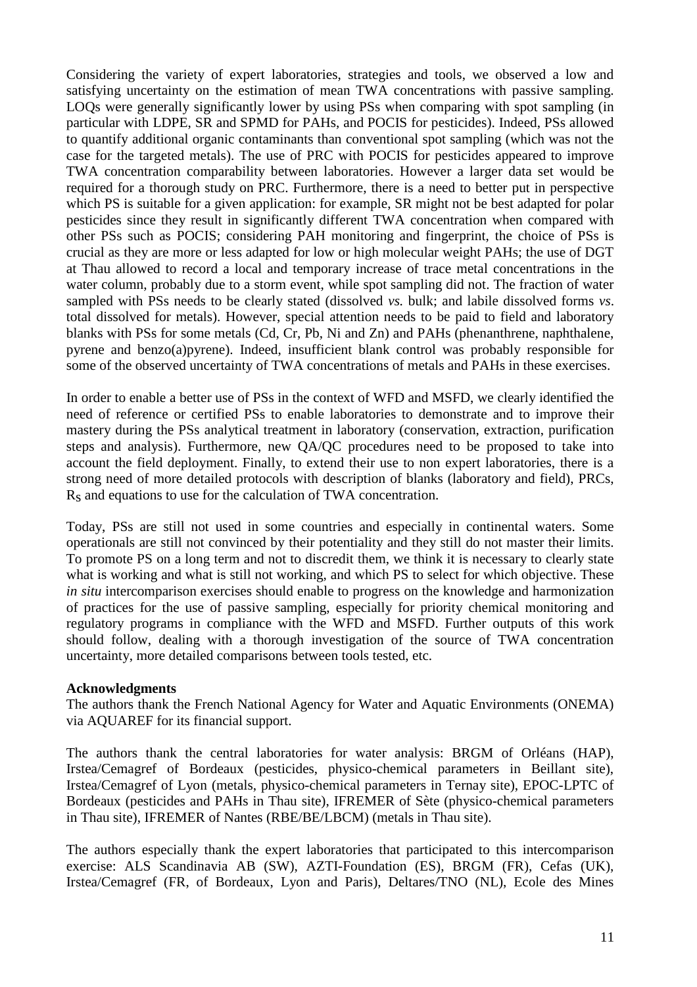Considering the variety of expert laboratories, strategies and tools, we observed a low and satisfying uncertainty on the estimation of mean TWA concentrations with passive sampling. LOQs were generally significantly lower by using PSs when comparing with spot sampling (in particular with LDPE, SR and SPMD for PAHs, and POCIS for pesticides). Indeed, PSs allowed to quantify additional organic contaminants than conventional spot sampling (which was not the case for the targeted metals). The use of PRC with POCIS for pesticides appeared to improve TWA concentration comparability between laboratories. However a larger data set would be required for a thorough study on PRC. Furthermore, there is a need to better put in perspective which PS is suitable for a given application: for example, SR might not be best adapted for polar pesticides since they result in significantly different TWA concentration when compared with other PSs such as POCIS; considering PAH monitoring and fingerprint, the choice of PSs is crucial as they are more or less adapted for low or high molecular weight PAHs; the use of DGT at Thau allowed to record a local and temporary increase of trace metal concentrations in the water column, probably due to a storm event, while spot sampling did not. The fraction of water sampled with PSs needs to be clearly stated (dissolved *vs.* bulk; and labile dissolved forms *vs*. total dissolved for metals). However, special attention needs to be paid to field and laboratory blanks with PSs for some metals (Cd, Cr, Pb, Ni and Zn) and PAHs (phenanthrene, naphthalene, pyrene and benzo(a)pyrene). Indeed, insufficient blank control was probably responsible for some of the observed uncertainty of TWA concentrations of metals and PAHs in these exercises.

In order to enable a better use of PSs in the context of WFD and MSFD, we clearly identified the need of reference or certified PSs to enable laboratories to demonstrate and to improve their mastery during the PSs analytical treatment in laboratory (conservation, extraction, purification steps and analysis). Furthermore, new QA/QC procedures need to be proposed to take into account the field deployment. Finally, to extend their use to non expert laboratories, there is a strong need of more detailed protocols with description of blanks (laboratory and field), PRCs, Rs and equations to use for the calculation of TWA concentration.

Today, PSs are still not used in some countries and especially in continental waters. Some operationals are still not convinced by their potentiality and they still do not master their limits. To promote PS on a long term and not to discredit them, we think it is necessary to clearly state what is working and what is still not working, and which PS to select for which objective. These *in situ* intercomparison exercises should enable to progress on the knowledge and harmonization of practices for the use of passive sampling, especially for priority chemical monitoring and regulatory programs in compliance with the WFD and MSFD. Further outputs of this work should follow, dealing with a thorough investigation of the source of TWA concentration uncertainty, more detailed comparisons between tools tested, etc.

### **Acknowledgments**

The authors thank the French National Agency for Water and Aquatic Environments (ONEMA) via AQUAREF for its financial support.

The authors thank the central laboratories for water analysis: BRGM of Orléans (HAP), Irstea/Cemagref of Bordeaux (pesticides, physico-chemical parameters in Beillant site), Irstea/Cemagref of Lyon (metals, physico-chemical parameters in Ternay site), EPOC-LPTC of Bordeaux (pesticides and PAHs in Thau site), IFREMER of Sète (physico-chemical parameters in Thau site), IFREMER of Nantes (RBE/BE/LBCM) (metals in Thau site).

The authors especially thank the expert laboratories that participated to this intercomparison exercise: ALS Scandinavia AB (SW), AZTI-Foundation (ES), BRGM (FR), Cefas (UK), Irstea/Cemagref (FR, of Bordeaux, Lyon and Paris), Deltares/TNO (NL), Ecole des Mines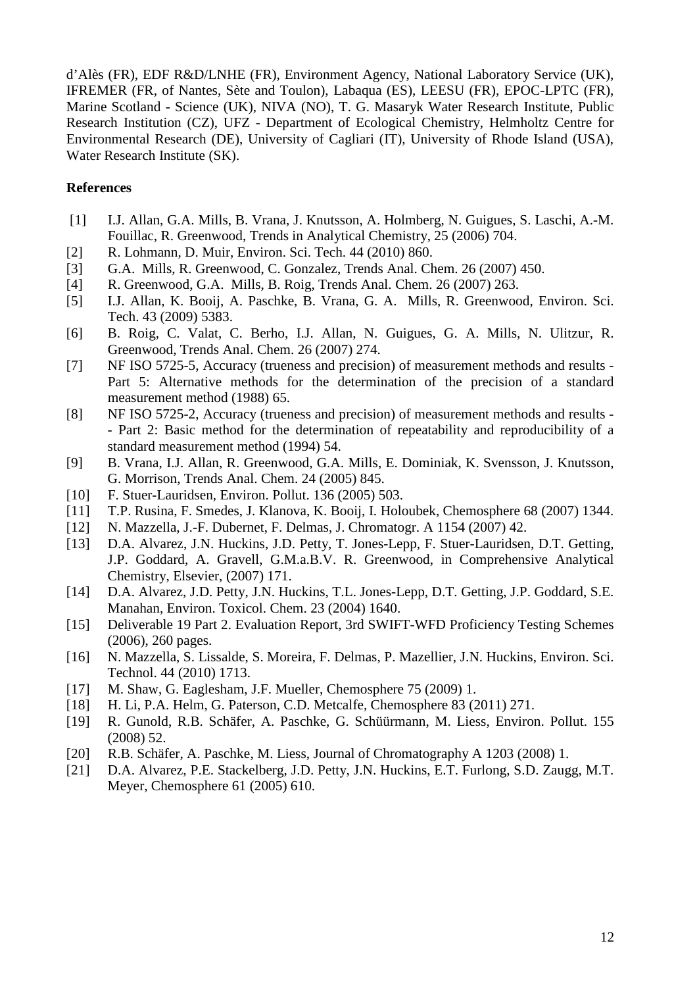d'Alès (FR), EDF R&D/LNHE (FR), Environment Agency, National Laboratory Service (UK), IFREMER (FR, of Nantes, Sète and Toulon), Labaqua (ES), LEESU (FR), EPOC-LPTC (FR), Marine Scotland - Science (UK), NIVA (NO), T. G. Masaryk Water Research Institute, Public Research Institution (CZ), UFZ - Department of Ecological Chemistry, Helmholtz Centre for Environmental Research (DE), University of Cagliari (IT), University of Rhode Island (USA), Water Research Institute (SK).

## **References**

- [1] I.J. Allan, G.A. Mills, B. Vrana, J. Knutsson, A. Holmberg, N. Guigues, S. Laschi, A.-M. Fouillac, R. Greenwood, Trends in Analytical Chemistry, 25 (2006) 704.
- [2] R. Lohmann, D. Muir, Environ. Sci. Tech. 44 (2010) 860.
- [3] G.A. Mills, R. Greenwood, C. Gonzalez, Trends Anal. Chem. 26 (2007) 450.
- [4] R. Greenwood, G.A. Mills, B. Roig, Trends Anal. Chem. 26 (2007) 263.
- [5] I.J. Allan, K. Booij, A. Paschke, B. Vrana, G. A. Mills, R. Greenwood, Environ. Sci. Tech. 43 (2009) 5383.
- [6] B. Roig, C. Valat, C. Berho, I.J. Allan, N. Guigues, G. A. Mills, N. Ulitzur, R. Greenwood, Trends Anal. Chem. 26 (2007) 274.
- [7] NF ISO 5725-5, Accuracy (trueness and precision) of measurement methods and results Part 5: Alternative methods for the determination of the precision of a standard measurement method (1988) 65.
- [8] NF ISO 5725-2, Accuracy (trueness and precision) of measurement methods and results - Part 2: Basic method for the determination of repeatability and reproducibility of a standard measurement method (1994) 54.
- [9] B. Vrana, I.J. Allan, R. Greenwood, G.A. Mills, E. Dominiak, K. Svensson, J. Knutsson, G. Morrison, Trends Anal. Chem. 24 (2005) 845.
- [10] F. Stuer-Lauridsen, Environ. Pollut. 136 (2005) 503.
- [11] T.P. Rusina, F. Smedes, J. Klanova, K. Booij, I. Holoubek, Chemosphere 68 (2007) 1344.
- [12] N. Mazzella, J.-F. Dubernet, F. Delmas, J. Chromatogr. A 1154 (2007) 42.
- [13] D.A. Alvarez, J.N. Huckins, J.D. Petty, T. Jones-Lepp, F. Stuer-Lauridsen, D.T. Getting, J.P. Goddard, A. Gravell, G.M.a.B.V. R. Greenwood, in Comprehensive Analytical Chemistry, Elsevier, (2007) 171.
- [14] D.A. Alvarez, J.D. Petty, J.N. Huckins, T.L. Jones-Lepp, D.T. Getting, J.P. Goddard, S.E. Manahan, Environ. Toxicol. Chem. 23 (2004) 1640.
- [15] Deliverable 19 Part 2. Evaluation Report, 3rd SWIFT-WFD Proficiency Testing Schemes (2006), 260 pages.
- [16] N. Mazzella, S. Lissalde, S. Moreira, F. Delmas, P. Mazellier, J.N. Huckins, Environ. Sci. Technol. 44 (2010) 1713.
- [17] M. Shaw, G. Eaglesham, J.F. Mueller, Chemosphere 75 (2009) 1.
- [18] H. Li, P.A. Helm, G. Paterson, C.D. Metcalfe, Chemosphere 83 (2011) 271.
- [19] R. Gunold, R.B. Schäfer, A. Paschke, G. Schüürmann, M. Liess, Environ. Pollut. 155 (2008) 52.
- [20] R.B. Schäfer, A. Paschke, M. Liess, Journal of Chromatography A 1203 (2008) 1.
- [21] D.A. Alvarez, P.E. Stackelberg, J.D. Petty, J.N. Huckins, E.T. Furlong, S.D. Zaugg, M.T. Meyer, Chemosphere 61 (2005) 610.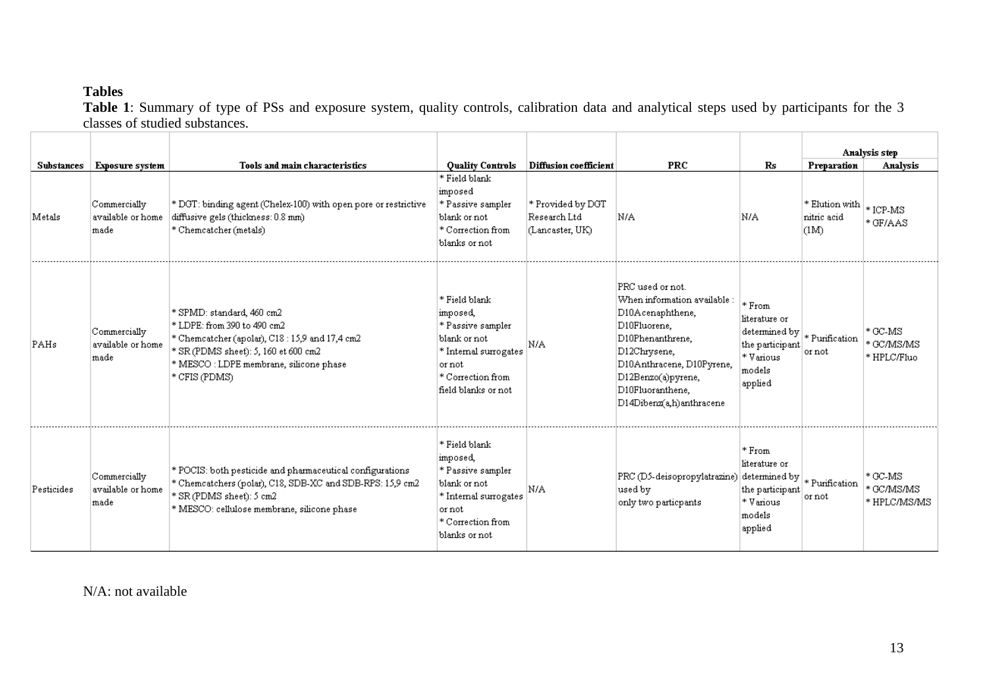# **Tables**

 **Table 1**: Summary of type of PSs and exposure system, quality controls, calibration data and analytical steps used by participants for the 3 classes of studied substances.

|                   |                                           |                                                                                                                                                                                                               |                                                                                                                                               |                                                      |                                                                                                                                                                                                                                                 |                                                                                                                                               |                                       | Analysis step                            |
|-------------------|-------------------------------------------|---------------------------------------------------------------------------------------------------------------------------------------------------------------------------------------------------------------|-----------------------------------------------------------------------------------------------------------------------------------------------|------------------------------------------------------|-------------------------------------------------------------------------------------------------------------------------------------------------------------------------------------------------------------------------------------------------|-----------------------------------------------------------------------------------------------------------------------------------------------|---------------------------------------|------------------------------------------|
| <b>Substances</b> | <b>Exposure system</b>                    | Tools and main characteristics                                                                                                                                                                                | <b>Quality Controls</b><br>* Field blank                                                                                                      | <b>Diffusion coefficient</b>                         | <b>PRC</b>                                                                                                                                                                                                                                      | R <sub>S</sub>                                                                                                                                | Preparation                           | Analysis                                 |
| Metals            | Commercially<br>available or home<br>made | * DGT: binding agent (Chelex-100) with open pore or restrictive<br>diffusive gels (thickness: 0.8 mm)<br>* Chemcatcher (metals)                                                                               | imposed<br>* Passive sampler<br>blank or not<br>* Correction from<br>blanks or not                                                            | * Provided by DGT<br>Research Ltd<br>(Lancaster, UK) | N/A                                                                                                                                                                                                                                             | N/A                                                                                                                                           | * Elution with<br>nitric acid<br>(1M) | $*$ ICP-MS<br>*GF/AAS                    |
| PAHs              | Commercially<br>available or home<br>made | * SPMD: standard, 460 cm2<br>* LDPE: from 390 to 490 cm2<br>* Chemcatcher (apolar), C18:15,9 and 17,4 cm2<br>* SR (PDMS sheet): 5, 160 et 600 cm2<br>* MESCO : LDPE membrane, silicone phase<br>* CFIS (PDMS) | * Field blank<br>imposed,<br>* Passive sampler<br>blank or not<br>* Internal surrogates<br>or not<br>* Correction from<br>field blanks or not | N/A                                                  | $\mathop{\mathrm{PRC}}$ used or not.<br>When information available :<br>D10Acenaphthene,<br>D10Fluorene,<br>D10Phenanthrene,<br>D12Chrysene,<br>D10Anthracene, D10Pyrene,<br>D12Benzo(a)pyrene,<br>D10Fluoranthene.<br>D14Dibenz(a,h)anthracene | $*$ From<br>literature or<br>$\left \text {determined by}\right  * \text {Purification}$<br>the participant<br>* Various<br>models<br>applied | or not                                | $*$ GC-MS<br>* GC/MS/MS<br>* HPLC/Fluo   |
| Pesticides        | Commercially<br>available or home<br>made | * POCIS: both pesticide and pharmaceutical configurations<br>* Chemcatchers (polar), C18, SDB-XC and SDB-RPS: 15,9 cm2<br>* SR (PDMS sheet): 5 cm2<br>* MESCO: cellulose membrane, silicone phase             | * Field blank<br>imposed,<br>* Passive sampler<br>blank or not<br>* Internal surrogates<br>or not<br>* Correction from<br>blanks or not       | N/A                                                  | PRC (D5-deisopropylatrazine)<br>used by<br>only two particpants                                                                                                                                                                                 | * From<br>literature or<br>$ \! $ determined by $ \! _*$ Purification<br>the participant<br>* Various<br>models<br>applied                    | or not                                | $*$ GC-MS<br> * GC/MS/MS<br>* HPLC/MS/MS |

N/A: not available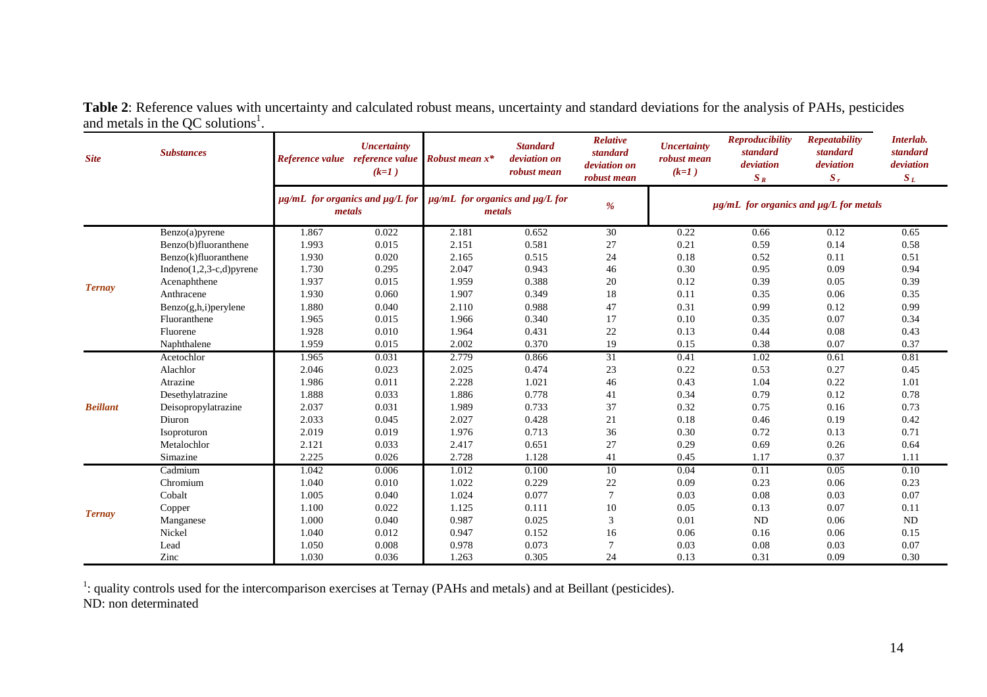| <b>Site</b>     | <b>Substances</b>           |       | <b>Uncertainty</b><br>Reference value reference value<br>$(k=1)$ | <b>Robust</b> mean $x^*$                            | <b>Standard</b><br>deviation on<br>robust mean | Relative<br>standard<br>deviation on<br>robust mean | <b>Uncertainty</b><br>robust mean<br>$(k=1)$ | <b>Reproducibility</b><br>standard<br>deviation<br>$S_R$ | <b>Repeatability</b><br>standard<br>deviation<br>$S_r$ | Interlab.<br>standard<br>deviation<br>$S_L$ |
|-----------------|-----------------------------|-------|------------------------------------------------------------------|-----------------------------------------------------|------------------------------------------------|-----------------------------------------------------|----------------------------------------------|----------------------------------------------------------|--------------------------------------------------------|---------------------------------------------|
|                 |                             |       | $\mu$ g/mL for organics and $\mu$ g/L for<br>metals              | $\mu$ g/mL for organics and $\mu$ g/L for<br>metals |                                                | $\%$                                                |                                              | $\mu$ g/mL for organics and $\mu$ g/L for metals         |                                                        |                                             |
|                 | Benzo(a)pyrene              | 1.867 | 0.022                                                            | 2.181                                               | 0.652                                          | 30                                                  | 0.22                                         | 0.66                                                     | 0.12                                                   | 0.65                                        |
|                 | Benzo(b)fluoranthene        | 1.993 | 0.015                                                            | 2.151                                               | 0.581                                          | 27                                                  | 0.21                                         | 0.59                                                     | 0.14                                                   | 0.58                                        |
|                 | Benzo(k)fluoranthene        | 1.930 | 0.020                                                            | 2.165                                               | 0.515                                          | 24                                                  | 0.18                                         | 0.52                                                     | 0.11                                                   | 0.51                                        |
|                 | Indeno $(1,2,3-c,d)$ pyrene | 1.730 | 0.295                                                            | 2.047                                               | 0.943                                          | 46                                                  | 0.30                                         | 0.95                                                     | 0.09                                                   | 0.94                                        |
| <b>Ternay</b>   | Acenaphthene                | 1.937 | 0.015                                                            | 1.959                                               | 0.388                                          | $20\,$                                              | 0.12                                         | 0.39                                                     | 0.05                                                   | 0.39                                        |
|                 | Anthracene                  | 1.930 | 0.060                                                            | 1.907                                               | 0.349                                          | 18                                                  | 0.11                                         | 0.35                                                     | 0.06                                                   | 0.35                                        |
|                 | Benzo(g,h,i)perylene        | 1.880 | 0.040                                                            | 2.110                                               | 0.988                                          | 47                                                  | 0.31                                         | 0.99                                                     | 0.12                                                   | 0.99                                        |
|                 | Fluoranthene                | 1.965 | 0.015                                                            | 1.966                                               | 0.340                                          | 17                                                  | 0.10                                         | 0.35                                                     | 0.07                                                   | 0.34                                        |
|                 | Fluorene                    | 1.928 | 0.010                                                            | 1.964                                               | 0.431                                          | $22\,$                                              | 0.13                                         | 0.44                                                     | 0.08                                                   | 0.43                                        |
|                 | Naphthalene                 | 1.959 | 0.015                                                            | 2.002                                               | 0.370                                          | 19                                                  | 0.15                                         | 0.38                                                     | 0.07                                                   | 0.37                                        |
|                 | Acetochlor                  | 1.965 | 0.031                                                            | 2.779                                               | 0.866                                          | 31                                                  | 0.41                                         | 1.02                                                     | 0.61                                                   | 0.81                                        |
|                 | Alachlor                    | 2.046 | 0.023                                                            | 2.025                                               | 0.474                                          | 23                                                  | 0.22                                         | 0.53                                                     | 0.27                                                   | 0.45                                        |
|                 | Atrazine                    | 1.986 | 0.011                                                            | 2.228                                               | 1.021                                          | 46                                                  | 0.43                                         | 1.04                                                     | 0.22                                                   | 1.01                                        |
|                 | Desethylatrazine            | 1.888 | 0.033                                                            | 1.886                                               | 0.778                                          | 41                                                  | 0.34                                         | 0.79                                                     | 0.12                                                   | 0.78                                        |
| <b>Beillant</b> | Deisopropylatrazine         | 2.037 | 0.031                                                            | 1.989                                               | 0.733                                          | 37                                                  | 0.32                                         | 0.75                                                     | 0.16                                                   | 0.73                                        |
|                 | Diuron                      | 2.033 | 0.045                                                            | 2.027                                               | 0.428                                          | 21                                                  | 0.18                                         | 0.46                                                     | 0.19                                                   | 0.42                                        |
|                 | Isoproturon                 | 2.019 | 0.019                                                            | 1.976                                               | 0.713                                          | 36                                                  | 0.30                                         | 0.72                                                     | 0.13                                                   | 0.71                                        |
|                 | Metalochlor                 | 2.121 | 0.033                                                            | 2.417                                               | 0.651                                          | $27\,$                                              | 0.29                                         | 0.69                                                     | 0.26                                                   | 0.64                                        |
|                 | Simazine                    | 2.225 | 0.026                                                            | 2.728                                               | 1.128                                          | 41                                                  | 0.45                                         | 1.17                                                     | 0.37                                                   | 1.11                                        |
|                 | Cadmium                     | 1.042 | 0.006                                                            | 1.012                                               | 0.100                                          | 10                                                  | 0.04                                         | 0.11                                                     | 0.05                                                   | 0.10                                        |
|                 | Chromium                    | 1.040 | 0.010                                                            | 1.022                                               | 0.229                                          | $22\,$                                              | 0.09                                         | 0.23                                                     | 0.06                                                   | 0.23                                        |
|                 | Cobalt                      | 1.005 | 0.040                                                            | 1.024                                               | 0.077                                          | $\overline{7}$                                      | 0.03                                         | 0.08                                                     | 0.03                                                   | 0.07                                        |
|                 | Copper                      | 1.100 | 0.022                                                            | 1.125                                               | 0.111                                          | $10\,$                                              | 0.05                                         | 0.13                                                     | 0.07                                                   | 0.11                                        |
| <b>Ternay</b>   | Manganese                   | 1.000 | 0.040                                                            | 0.987                                               | 0.025                                          | 3                                                   | 0.01                                         | ND                                                       | 0.06                                                   | $\rm ND$                                    |
|                 | Nickel                      | 1.040 | 0.012                                                            | 0.947                                               | 0.152                                          | 16                                                  | 0.06                                         | 0.16                                                     | 0.06                                                   | 0.15                                        |
|                 | Lead                        | 1.050 | 0.008                                                            | 0.978                                               | 0.073                                          |                                                     | 0.03                                         | 0.08                                                     | 0.03                                                   | 0.07                                        |
|                 | Zinc                        | 1.030 | 0.036                                                            | 1.263                                               | 0.305                                          | 24                                                  | 0.13                                         | 0.31                                                     | 0.09                                                   | 0.30                                        |

**Table 2**: Reference values with uncertainty and calculated robust means, uncertainty and standard deviations for the analysis of PAHs, pesticides and metals in the QC solutions<sup>1</sup>.

<sup>1</sup>: quality controls used for the intercomparison exercises at Ternay (PAHs and metals) and at Beillant (pesticides).<br>ND: non determinated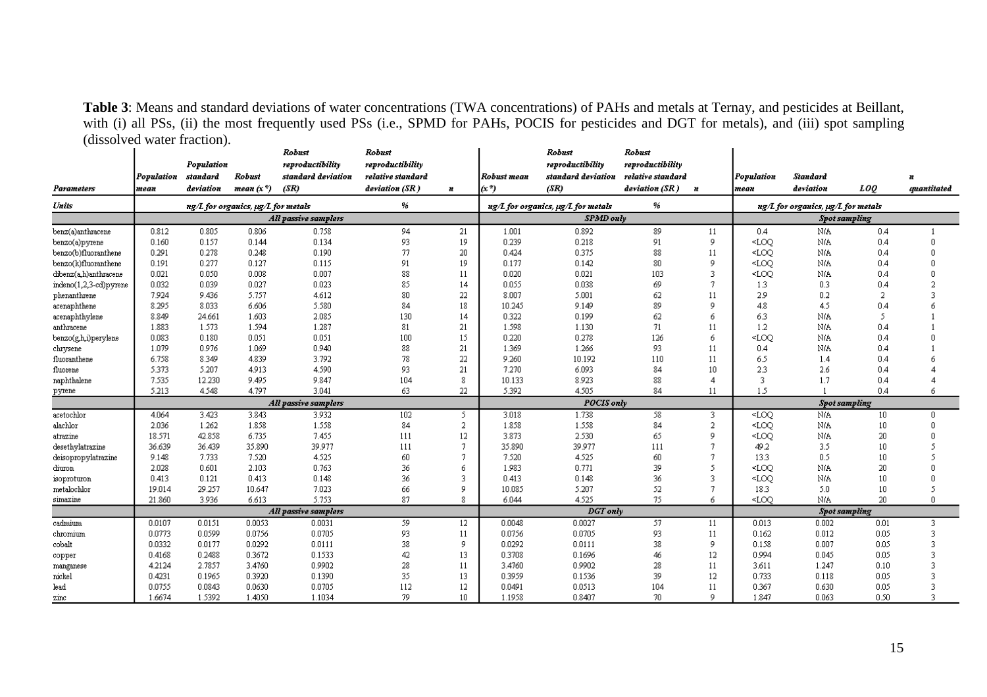Table 3: Means and standard deviations of water concentrations (TWA concentrations) of PAHs and metals at Ternay, and pesticides at Beillant, with (i) all PSs, (ii) the most frequently used PSs (i.e., SPMD for PAHs, POCIS for pesticides and DGT for metals), and (iii) spot sampling (dissolved water fraction).

|                        |            |            |                                        | Robust               | <b>Robust</b>     |                 |             | Robust                                    | <b>Robust</b>     |                |                                                                                                                      |                                           |                      |                                        |  |  |
|------------------------|------------|------------|----------------------------------------|----------------------|-------------------|-----------------|-------------|-------------------------------------------|-------------------|----------------|----------------------------------------------------------------------------------------------------------------------|-------------------------------------------|----------------------|----------------------------------------|--|--|
|                        |            | Population |                                        | reproductibility     | reproductibility  |                 |             | reproductibility                          | reproductibility  |                |                                                                                                                      |                                           |                      |                                        |  |  |
|                        | Population | standard   | <b>Robust</b>                          | standard deviation   | relative standard |                 | Robust mean | standard deviation                        | relative standard |                | Population                                                                                                           | Standard                                  |                      | n                                      |  |  |
| <b>Parameters</b>      | mean       | deviation  | mean $(x^*)$                           | (SR)                 | deviation (SR)    | N.              | (x *)       | (SR)                                      | deviation (SR)    | n              | mean                                                                                                                 | deviation                                 | <b>LOO</b>           | mantitated                             |  |  |
| Units                  |            |            | $ng/L$ for organics, $ug/L$ for metals |                      | %                 |                 |             | $ng/L$ for organics, $\mu g/L$ for metals | %                 |                |                                                                                                                      | $ng/L$ for organics, $\mu g/L$ for metals |                      |                                        |  |  |
|                        |            |            |                                        | All passive samplers |                   |                 |             | <b>SPMD</b> only                          |                   |                |                                                                                                                      | <b>Spot sampling</b>                      |                      |                                        |  |  |
| benz(a)anthracene      | 0.812      | 0.805      | 0.806                                  | 0.758                | 94                | 21              | 1.001       | 0.892                                     | 89                | 11             | 0.4                                                                                                                  | N/A                                       | 0.4                  | $\overline{1}$                         |  |  |
| benzo(a)pyrene         | 0.160      | 0.157      | 0.144                                  | 0.134                | 93                | 19              | 0.239       | 0.218                                     | 91                | 9              | <loo< th=""><th>N/A</th><th>0.4</th><th>0</th></loo<>                                                                | N/A                                       | 0.4                  | 0                                      |  |  |
| benzo(b)fluoranthene   | 0.291      | 0.278      | 0.248                                  | 0.190                | 77                | 20              | 0.424       | 0.375                                     | 88                | 11             | <loo< td=""><td><b>N/A</b></td><td>0.4</td><td><math>\theta</math></td></loo<>                                       | <b>N/A</b>                                | 0.4                  | $\theta$                               |  |  |
| benzo(k)fluoranthene   | 0.191      | 0.277      | 0.127                                  | 0.115                | 91                | 19              | 0.177       | 0.142                                     | 80                | 9              | <loq< td=""><td>N/A</td><td>0.4</td><td><math>\theta</math></td></loq<>                                              | N/A                                       | 0.4                  | $\theta$                               |  |  |
| dibenz(a,h)anthracene  | 0.021      | 0.050      | 0.008                                  | 0.007                | 88                | 11              | 0.020       | 0.021                                     | 103               | 3.             | $<$ LOO                                                                                                              | N/A                                       | 0.4                  | $\theta$                               |  |  |
| indeno(1,2,3-cd)pyrene | 0.032      | 0.039      | 0.027                                  | 0.023                | 85                | 14              | 0.055       | 0.038                                     | 69                | 7              | 1.3                                                                                                                  | 0.3                                       | 0.4                  | $\overline{a}$                         |  |  |
| phenanthrene           | 7.924      | 9.436      | 5.757                                  | 4.612                | 80                | 22              | 8.007       | 5.001                                     | 62                | 11             | 29                                                                                                                   | 0.2                                       | 2                    | 3                                      |  |  |
| acenaphthene           | 8.295      | 8.033      | 6.606                                  | 5.580                | 84                | 18              | 10.245      | 9.149                                     | 89                | 9              | 4.8                                                                                                                  | 4.5                                       | 0.4                  | 6                                      |  |  |
| acenaphthylene         | 8.849      | 24.661     | 1.603                                  | 2.085                | 130               | 14              | 0.322       | 0.199                                     | 62                | 6              | 6.3                                                                                                                  | N/A                                       | 5                    |                                        |  |  |
| anthracene             | 1.883      | 1.573      | 1.594                                  | 1.287                | 81                | 21              | 1.598       | 1.130                                     | 71                | 11             | 1.2                                                                                                                  | N/A                                       | 0.4                  |                                        |  |  |
| benzo(g,h,i)perylene   | 0.083      | 0.180      | 0.051                                  | 0.051                | 100               | 15              | 0.220       | 0.278                                     | 126               | 6              | $<$ LOO                                                                                                              | N/A                                       | 0.4                  | 0                                      |  |  |
| chrysene               | 1.079      | 0.976      | 1.069                                  | 0.940                | 88                | 21              | 1.369       | 1.266                                     | 93                | 11             | 0.4                                                                                                                  | N/A                                       | 0.4                  |                                        |  |  |
| fluoranthene           | 6.758      | 8.349      | 4.839                                  | 3.792                | 78                | 22              | 9.260       | 10.192                                    | 110               | 11             | 6.5                                                                                                                  | 1.4                                       | 0.4                  | ń                                      |  |  |
| fluorene               | 5.373      | 5.207      | 4.913                                  | 4.590                | 93                | 21              | 7.270       | 6.093                                     | 84                | 10             | 2.3                                                                                                                  | 2.6                                       | 0.4                  | 4                                      |  |  |
| naphthalene            | 7.535      | 12.230     | 9.495                                  | 9.847                | 104               | 8               | 10.133      | 8.923                                     | 88                | 4              | -3                                                                                                                   | 1.7                                       | 0.4                  | 4                                      |  |  |
| pyrene                 | 5.213      | 4.548      | 4.797                                  | 3.041                | 63                | $22^{\circ}$    | 5.392       | 4.505                                     | 84                | 11             | 1.5                                                                                                                  |                                           | 0.4                  | 6                                      |  |  |
|                        |            |            |                                        | All passive samplers |                   |                 |             | <b>POCIS</b> only                         |                   |                | <b>Spot sampling</b>                                                                                                 |                                           |                      |                                        |  |  |
| acetochlor             | 4.064      | 3.423      | 3.843                                  | 3.932                | 102               | 5               | 3.018       | 1.738                                     | 58                | 3.             | <loo< th=""><th>N/A</th><th>10</th><th>0</th></loo<>                                                                 | N/A                                       | 10                   | 0                                      |  |  |
| alachlor               | 2.036      | 1.262      | 1.858                                  | 1.558                | 84                | 2               | 1.858       | 1.558                                     | 84                | $\overline{a}$ | <loo< td=""><td><b>N/A</b></td><td>10</td><td><math>\theta</math></td></loo<>                                        | <b>N/A</b>                                | 10                   | $\theta$                               |  |  |
| atrazine               | 18.571     | 42.858     | 6.735                                  | 7.455                | 111               | 12              | 3.873       | 2.530                                     | 65                | 9              | <loo< td=""><td>N/A</td><td>20</td><td><math display="block">\begin{array}{c} \n 0 \n \end{array}</math></td></loo<> | N/A                                       | 20                   | $\begin{array}{c} \n 0 \n \end{array}$ |  |  |
| desethylatrazine       | 36.639     | 36.439     | 35.890                                 | 39.977               | 111               | -7              | 35.890      | 39.977                                    | 111               | 7              | 49.2                                                                                                                 | 3.5                                       | 10                   | 5                                      |  |  |
| deisopropylatrazine    | 9.148      | 7.733      | 7.520                                  | 4.525                | 60                | -7              | 7.520       | 4.525                                     | 60                | 7              | 13.3                                                                                                                 | 0.5                                       | 10                   | 5                                      |  |  |
| diuron                 | 2.028      | 0.601      | 2.103                                  | 0.763                | 36                | ń               | 1.983       | 0.771                                     | 39                | 5.             | <loo< td=""><td>N/A</td><td>20</td><td><math>\theta</math></td></loo<>                                               | N/A                                       | 20                   | $\theta$                               |  |  |
| isoproturon            | 0.413      | 0.121      | 0.413                                  | 0.148                | 36                | 3               | 0.413       | 0.148                                     | 36                | 3              | <loq< td=""><td>N/A</td><td>10</td><td><math>\mathbf 0</math></td></loq<>                                            | N/A                                       | 10                   | $\mathbf 0$                            |  |  |
| metalochlor            | 19.014     | 29.257     | 10.647                                 | 7.023                | 66                | $\mathbf Q$     | 10.085      | 5.207                                     | 52                | $\overline{1}$ | 18.3                                                                                                                 | 5.0                                       | 10                   | 5                                      |  |  |
| simazine               | 21.860     | 3.936      | 6.613                                  | 5.753                | 87                | 8               | 6.044       | 4.525                                     | 75.               | 6              | <loo< th=""><th><b>N/A</b></th><th>20</th><th><math display="block">\Box</math></th></loo<>                          | <b>N/A</b>                                | 20                   | $\Box$                                 |  |  |
|                        |            |            |                                        | All passive samplers |                   |                 |             | <b>DGT</b> only                           |                   |                |                                                                                                                      |                                           | <b>Spot sampling</b> |                                        |  |  |
| cadmium                | 0.0107     | 0.0151     | 0.0053                                 | 0.0031               | 59                | 12              | 0.0048      | 0.0027                                    | 57.               | 11             | 0.013                                                                                                                | 0.002                                     | 0.01                 | 3                                      |  |  |
| chromium               | 0.0773     | 0.0599     | 0.0756                                 | 0.0705               | 93                | 11              | 0.0756      | 0.0705                                    | 93                | 11             | 0.162                                                                                                                | 0.012                                     | 0.05                 | 3                                      |  |  |
| cobalt                 | 0.0332     | 0.0177     | 0.0292                                 | 0.0111               | 38                | 9               | 0.0292      | 0.0111                                    | 38                | 9              | 0.158                                                                                                                | 0.007                                     | 0.05                 | 3                                      |  |  |
| copper                 | 0.4168     | 0.2488     | 0.3672                                 | 0.1533               | 42                | 13              | 0.3708      | 0.1696                                    | 46                | 12             | 0.994                                                                                                                | 0.045                                     | 0.05                 | 3                                      |  |  |
| manganese              | 4.2124     | 2.7857     | 3.4760                                 | 0.9902               | 28                | 11              | 3.4760      | 0.9902                                    | 28                | 11             | 3.611                                                                                                                | 1.247                                     | 0.10                 | 3                                      |  |  |
| nickel                 | 0.4231     | 0.1965     | 0.3920                                 | 0.1390               | 35                | 13              | 0.3959      | 0.1536                                    | 39                | 12             | 0.733                                                                                                                | 0.118                                     | 0.05                 | 3                                      |  |  |
| lead                   | 0.0755     | 0.0843     | 0.0630                                 | 0.0705               | 112               | 12              | 0.0491      | 0.0513                                    | 104               | 11             | 0.367                                                                                                                | 0.630                                     | 0.05                 | 3                                      |  |  |
| zinc                   | 1.6674     | 1.5392     | 1.4050                                 | 1.1034               | 79                | 10 <sup>°</sup> | 1.1958      | 0.8407                                    | 70                | $\mathbf Q$    | 1.847                                                                                                                | 0.063                                     | 0.50                 | 3                                      |  |  |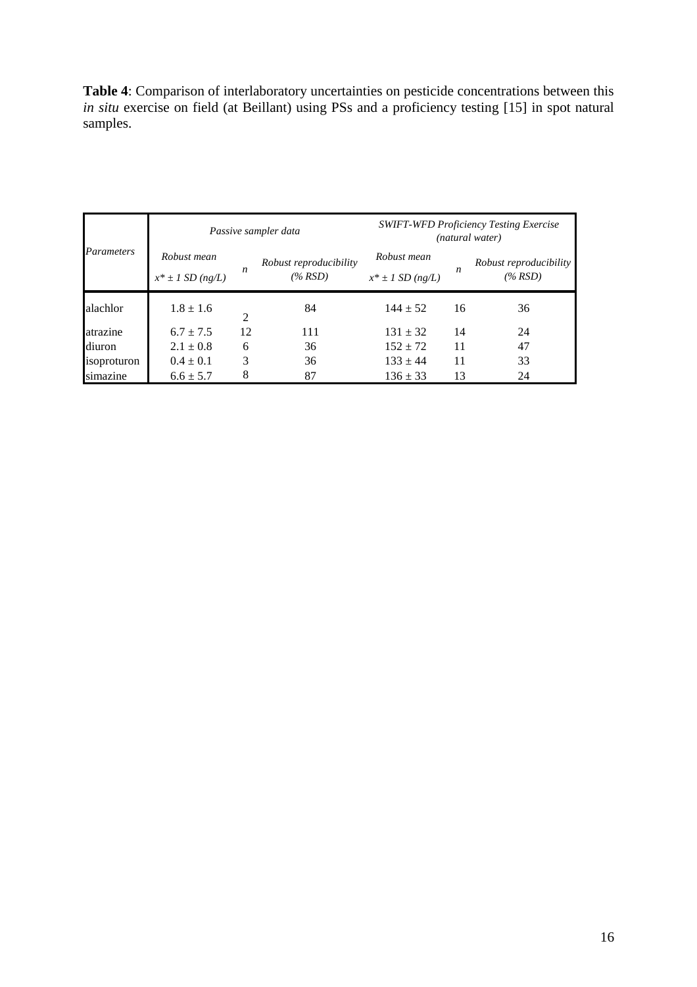**Table 4**: Comparison of interlaboratory uncertainties on pesticide concentrations between this *in situ* exercise on field (at Beillant) using PSs and a proficiency testing [15] in spot natural samples.

|             |                                      |                  | Passive sampler data                 | <b>SWIFT-WFD Proficiency Testing Exercise</b><br>(natural water) |    |                                   |  |  |
|-------------|--------------------------------------|------------------|--------------------------------------|------------------------------------------------------------------|----|-----------------------------------|--|--|
| Parameters  | Robust mean<br>$x^* \pm 1$ SD (ng/L) | $\boldsymbol{n}$ | Robust reproducibility<br>$(\% RSD)$ | Robust mean<br>$x^* \pm 1$ SD (ng/L)                             | n  | Robust reproducibility<br>(% RSD) |  |  |
| alachlor    | $1.8 \pm 1.6$                        | 2                | 84                                   | $144 \pm 52$                                                     | 16 | 36                                |  |  |
| atrazine    | $6.7 \pm 7.5$                        | 12               | 111                                  | $131 \pm 32$                                                     | 14 | 24                                |  |  |
| diuron      | $2.1 \pm 0.8$                        | 6                | 36                                   | $152 \pm 72$                                                     | 11 | 47                                |  |  |
| isoproturon | $0.4 \pm 0.1$                        | 3                | 36                                   | $133 \pm 44$                                                     | 11 | 33                                |  |  |
| simazine    | $6.6 \pm 5.7$                        | 8                | 87                                   | $136 \pm 33$                                                     | 13 | 24                                |  |  |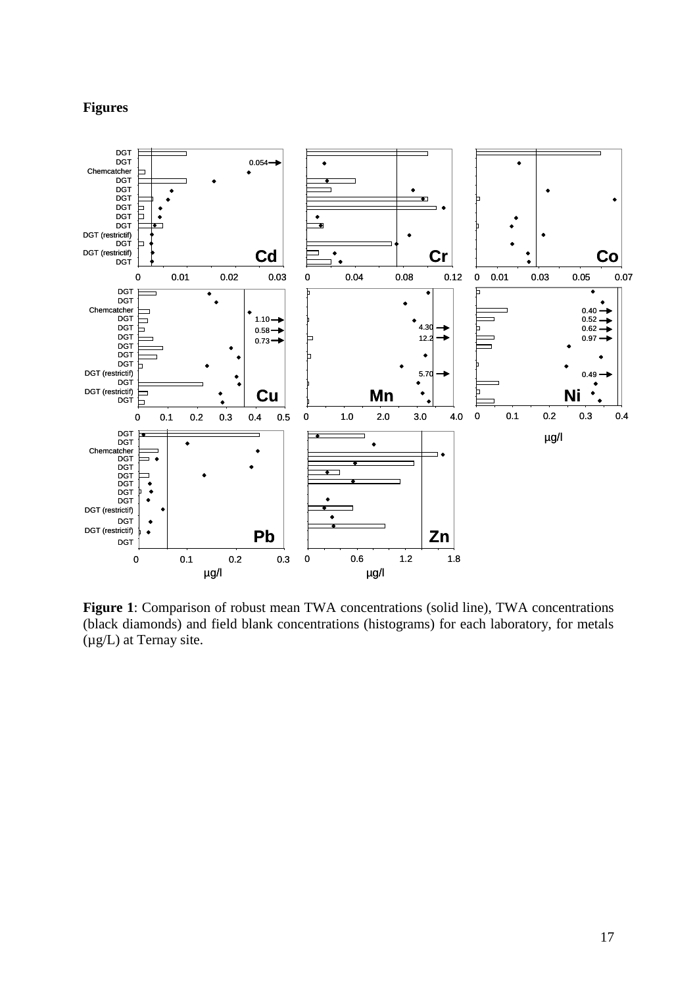# **Figures**



**Figure 1**: Comparison of robust mean TWA concentrations (solid line), TWA concentrations (black diamonds) and field blank concentrations (histograms) for each laboratory, for metals (µg/L) at Ternay site.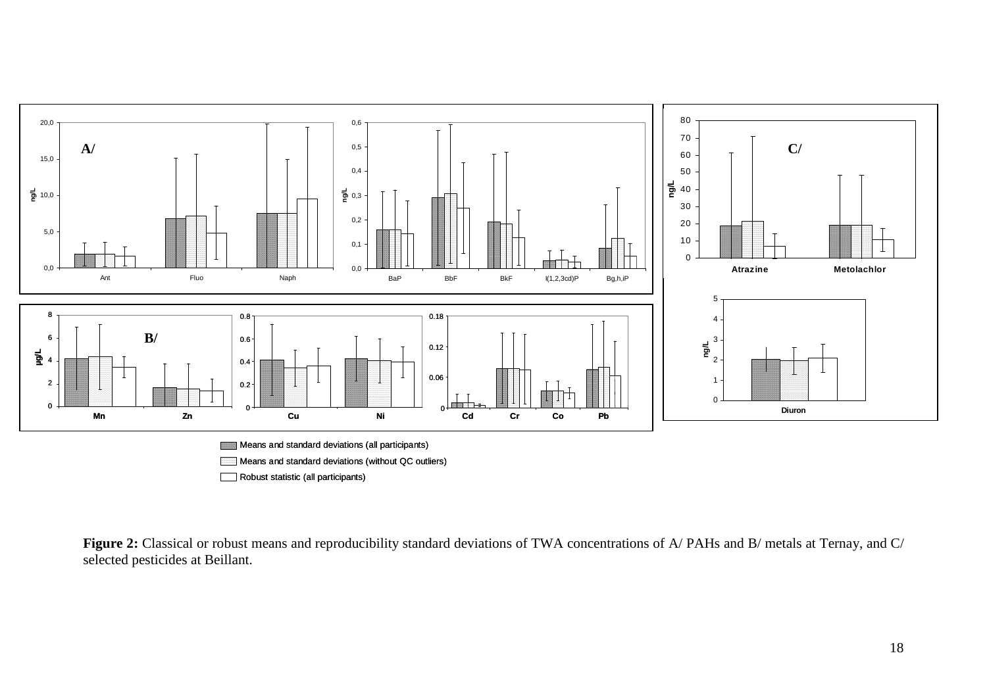



Figure 2: Classical or robust means and reproducibility standard deviations of TWA concentrations of A/ PAHs and B/ metals at Ternay, and C/ selected pesticides at Beillant.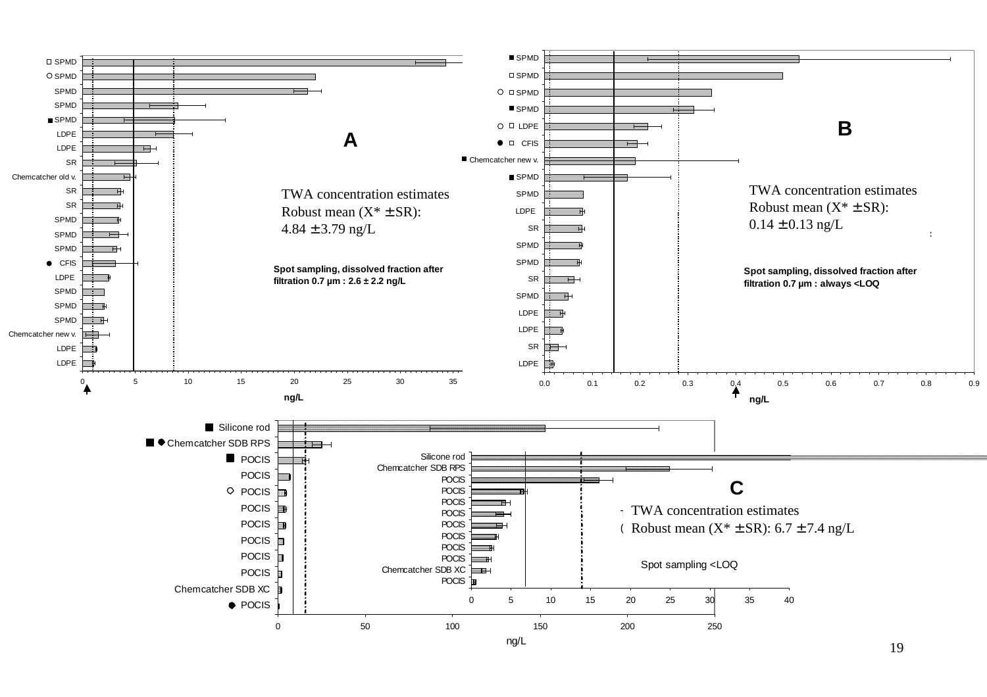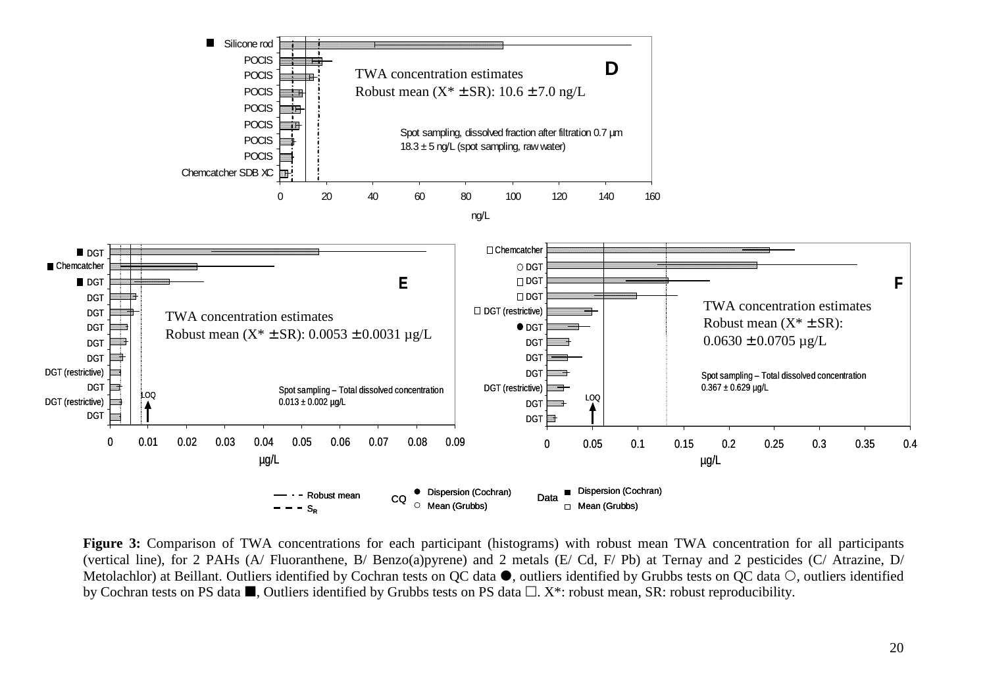

**Figure 3:** Comparison of TWA concentrations for each participant (histograms) with robust mean TWA concentration for all participants (vertical line), for 2 PAHs (A/ Fluoranthene, B/ Benzo(a)pyrene) and 2 metals (E/ Cd, F/ Pb) at Ternay and 2 pesticides (C/ Atrazine, D/ Metolachlor) at Beillant. Outliers identified by Cochran tests on QC data . outliers identified by Grubbs tests on QC data  $\circ$ , outliers identified by Cochran tests on PS data  $\blacksquare$ , Outliers identified by Grubbs tests on PS data  $\Box$ . X\*: robust mean, SR: robust reproducibility.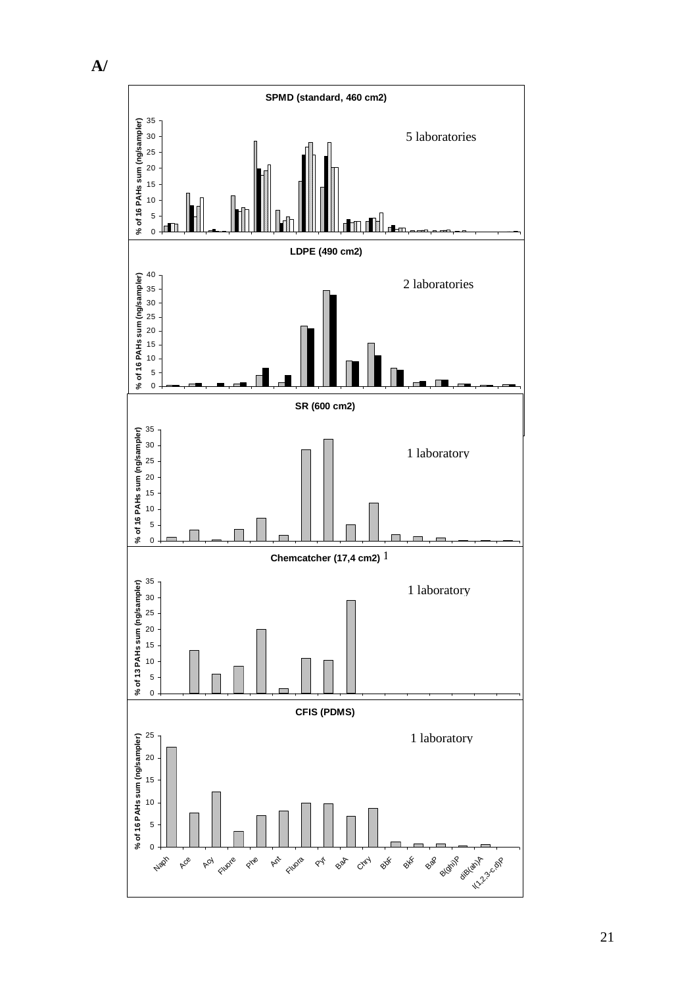

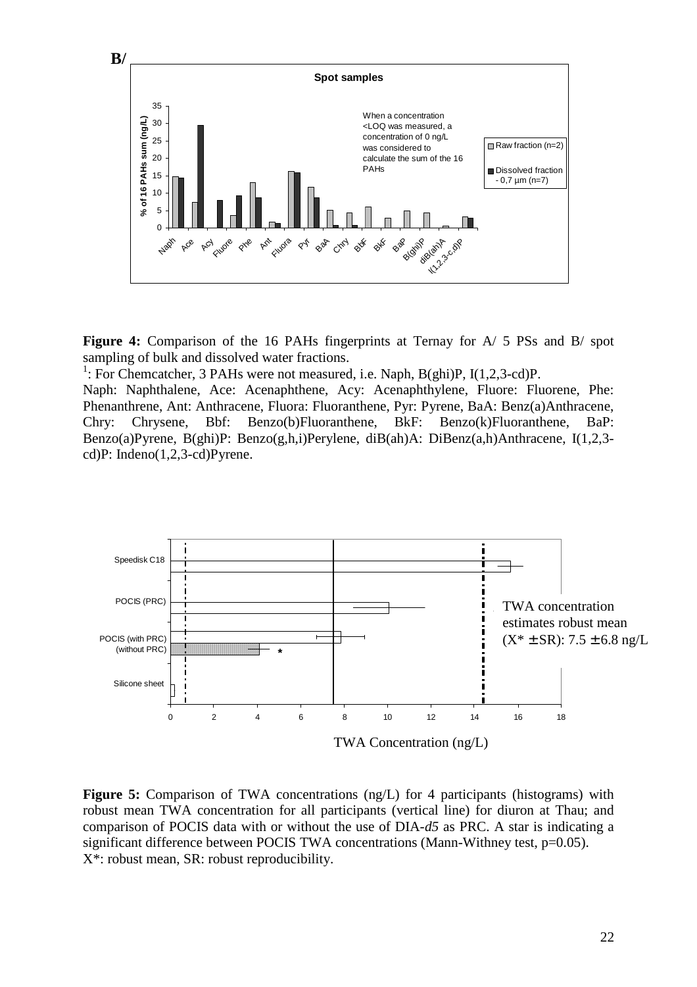

**Figure 4:** Comparison of the 16 PAHs fingerprints at Ternay for A/ 5 PSs and B/ spot sampling of bulk and dissolved water fractions.

<sup>1</sup>: For Chemcatcher, 3 PAHs were not measured, i.e. Naph, B(ghi)P, I(1,2,3-cd)P.

Naph: Naphthalene, Ace: Acenaphthene, Acy: Acenaphthylene, Fluore: Fluorene, Phe: Phenanthrene, Ant: Anthracene, Fluora: Fluoranthene, Pyr: Pyrene, BaA: Benz(a)Anthracene, Chry: Chrysene, Bbf: Benzo(b)Fluoranthene, BkF: Benzo(k)Fluoranthene, BaP: Benzo(a)Pyrene, B(ghi)P: Benzo(g,h,i)Perylene, diB(ah)A: DiBenz(a,h)Anthracene, I(1,2,3 cd)P: Indeno(1,2,3-cd)Pyrene.



Figure 5: Comparison of TWA concentrations (ng/L) for 4 participants (histograms) with robust mean TWA concentration for all participants (vertical line) for diuron at Thau; and comparison of POCIS data with or without the use of DIA-*d5* as PRC. A star is indicating a significant difference between POCIS TWA concentrations (Mann-Withney test, p=0.05). X\*: robust mean, SR: robust reproducibility.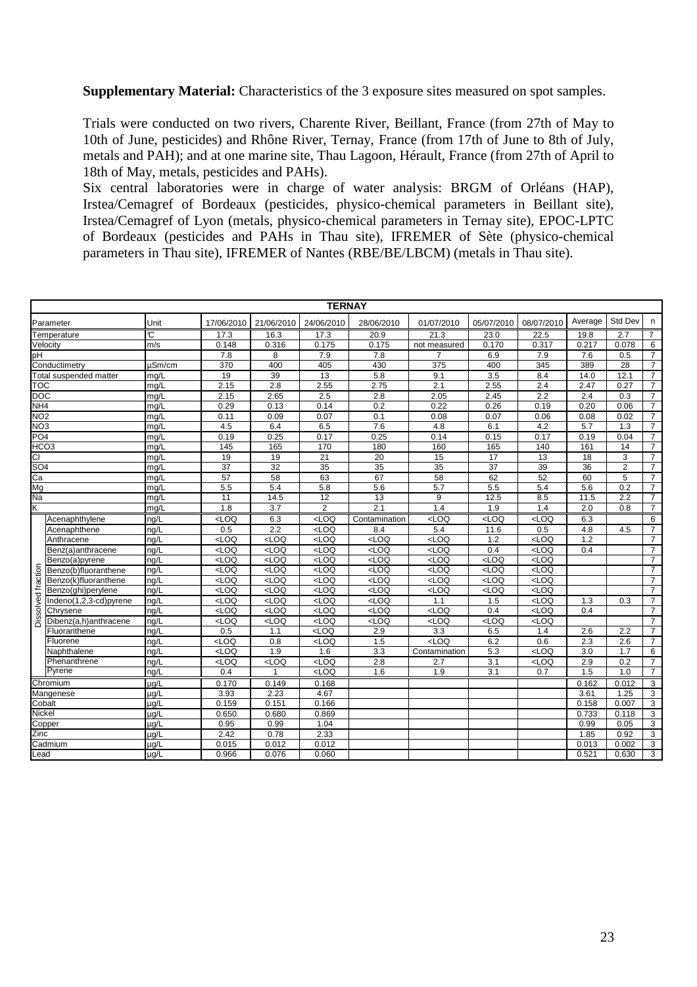**Supplementary Material:** Characteristics of the 3 exposure sites measured on spot samples.

Trials were conducted on two rivers, Charente River, Beillant, France (from 27th of May to 10th of June, pesticides) and Rhône River, Ternay, France (from 17th of June to 8th of July, metals and PAH); and at one marine site, Thau Lagoon, Hérault, France (from 27th of April to 18th of May, metals, pesticides and PAHs).

Six central laboratories were in charge of water analysis: BRGM of Orléans (HAP), Irstea/Cemagref of Bordeaux (pesticides, physico-chemical parameters in Beillant site), Irstea/Cemagref of Lyon (metals, physico-chemical parameters in Ternay site), EPOC-LPTC of Bordeaux (pesticides and PAHs in Thau site), IFREMER of Sète (physico-chemical parameters in Thau site), IFREMER of Nantes (RBE/BE/LBCM) (metals in Thau site).

|                 | <b>TERNAY</b>          |                         |                                                                                                                                                       |                  |                  |                  |                  |                 |                                                                               |                  |                |                |  |
|-----------------|------------------------|-------------------------|-------------------------------------------------------------------------------------------------------------------------------------------------------|------------------|------------------|------------------|------------------|-----------------|-------------------------------------------------------------------------------|------------------|----------------|----------------|--|
|                 | Parameter              | Unit                    | 17/06/2010                                                                                                                                            | 21/06/2010       | 24/06/2010       | 28/06/2010       | 01/07/2010       | 05/07/2010      | 08/07/2010                                                                    | Average          | Std Dev        | n.             |  |
|                 | Temperature            | $\overline{\mathbb{C}}$ | 17.3                                                                                                                                                  | 16.3             | 17.3             | 20.9             | 21.3             | 23.0            | 22.5                                                                          | 19.8             | 2.7            | $\overline{7}$ |  |
|                 | Velocity               | m/s                     | 0.148                                                                                                                                                 | 0.316            | 0.175            | 0.175            | not measured     | 0.170           | 0.317                                                                         | 0.217            | 0.078          | 6              |  |
| pH              |                        |                         | 7.8                                                                                                                                                   | 8                | 7.9              | 7.8              | 7                | 6.9             | 7.9                                                                           | 7.6              | 0.5            | $\overline{7}$ |  |
|                 | Conductimetry          | $\mu$ Sm/cm             | 370                                                                                                                                                   | 400              | 405              | 430              | 375              | 400             | 345                                                                           | 389              | 28             | $\overline{7}$ |  |
|                 | Total suspended matter | mg/L                    | 19                                                                                                                                                    | 39               | 13               | 5.8              | 9.1              | 3.5             | 8.4                                                                           | 14.0             | 12.1           | $\overline{7}$ |  |
| ТOС             |                        | mg/L                    | 2.15                                                                                                                                                  | 2.8              | 2.55             | 2.75             | 2.1              | 2.55            | 2.4                                                                           | 2.47             | 0.27           | $\overline{7}$ |  |
| <b>DOC</b>      |                        | mg/L                    | 2.15                                                                                                                                                  | 2.65             | 2.5              | 2.8              | 2.05             | 2.45            | $\overline{2.2}$                                                              | 2.4              | 0.3            | $\overline{7}$ |  |
| NH4             |                        | ma/L                    | 0.29                                                                                                                                                  | 0.13             | 0.14             | 0.2              | 0.22             | 0.26            | 0.19                                                                          | 0.20             | 0.06           | $\overline{7}$ |  |
| NO <sub>2</sub> |                        | mg/L                    | 0.11                                                                                                                                                  | 0.09             | 0.07             | 0.1              | 0.08             | 0.07            | 0.06                                                                          | 0.08             | 0.02           | $\overline{7}$ |  |
| NO <sub>3</sub> |                        | mg/L                    | 4.5                                                                                                                                                   | 6.4              | 6.5              | 7.6              | 4.8              | 6.1             | 4.2                                                                           | $\overline{5.7}$ | 1.3            | $\overline{7}$ |  |
| PO <sub>4</sub> |                        | mg/L                    | 0.19                                                                                                                                                  | 0.25             | 0.17             | 0.25             | 0.14             | 0.15            | 0.17                                                                          | 0.19             | 0.04           | $\overline{7}$ |  |
|                 | HCO <sub>3</sub>       | mg/L                    | $\frac{145}{2}$                                                                                                                                       | 165              | 170              | 180              | 160              | 165             | 140                                                                           | 161              | 14             | $\overline{7}$ |  |
| СI              |                        | mg/L                    | 19                                                                                                                                                    | 19               | $\overline{21}$  | $\overline{20}$  | $\overline{15}$  | $\overline{17}$ | $\overline{13}$                                                               | $\overline{18}$  | 3              | $\overline{7}$ |  |
| SO <sub>4</sub> |                        | mg/L                    | $\overline{37}$                                                                                                                                       | 32               | 35               | 35               | 35               | $\overline{37}$ | 39                                                                            | 36               | $\overline{2}$ | $\overline{7}$ |  |
| Ca              |                        | mg/L                    | 57                                                                                                                                                    | 58               | 63               | 67               | $\overline{58}$  | 62              | 52                                                                            | 60               | 5              | $\overline{7}$ |  |
| Mg              |                        | mg/L                    | 5.5                                                                                                                                                   | 5.4              | 5.8              | 5.6              | 5.7              | 5.5             | 5.4                                                                           | 5.6              | 0.2            | $\overline{7}$ |  |
| Νa              |                        | mg/L                    | 11                                                                                                                                                    | 14.5             | 12               | 13               | 9                | 12.5            | 8.5                                                                           | 11.5             | 2.2            | $\overline{7}$ |  |
| Κ               |                        | mg/L                    | 1.8                                                                                                                                                   | 3.7              | $\mathbf{2}$     | 2.1              | 1.4              | 1.9             | 1.4                                                                           | 2.0              | 0.8            | $\overline{7}$ |  |
|                 | Acenaphthylene         | ng/L                    | <loq< td=""><td>6.3</td><td>LOO</td><td>Contamination</td><td><math>&lt;</math>LOQ</td><td>LOO</td><td>LOO</td><td>6.3</td><td></td><td>6</td></loq<> | 6.3              | LOO              | Contamination    | $<$ LOQ          | LOO             | LOO                                                                           | 6.3              |                | 6              |  |
|                 | Acenaphthene           | ng/L                    | 0.5                                                                                                                                                   | 2.2              | LOO              | 8.4              | 5.4              | 11.6            | 0.5                                                                           | 4.8              | 4.5            | $\overline{7}$ |  |
|                 | Anthracene             | ng/L                    | LOO                                                                                                                                                   | $\overline{2}$   | LOO              | $\overline{2}$   | LOO              | 1.2             | LOO                                                                           | 1.2              |                | $\overline{7}$ |  |
|                 | Benz(a)anthracene      | ng/L                    | LOO                                                                                                                                                   | $\overline{200}$ | $<$ LOQ          | $\overline{200}$ | $<$ LOQ          | 0.4             | LOO                                                                           | 0.4              |                | $\overline{7}$ |  |
|                 | Benzo(a)pyrene         | ng/L                    | LOO                                                                                                                                                   | LOO              | $<$ LOQ          | LOO              | $<$ LOQ          | LOO             | LOO                                                                           |                  |                | $\overline{7}$ |  |
|                 | Benzo(b)fluoranthene   | ng/L                    | $\overline{2}$                                                                                                                                        | $\overline{2}$   | $\overline{200}$ | $\overline{2}$   | $\overline{2}$   | $\overline{2}$  | $\overline{200}$                                                              |                  |                | $\overline{7}$ |  |
|                 | Benzo(k)fluoranthene   | ng/L                    | $\overline{2}$                                                                                                                                        | $\overline{200}$ | $\overline{200}$ | $\overline{2}$   | $\overline{200}$ | LOO             | $\overline{200}$                                                              |                  |                | $\overline{7}$ |  |
| solved fraction | Benzo(ghi)perylene     | ng/L                    | LOO                                                                                                                                                   | LOO              | $<$ LOQ          | $<$ LOQ          | $<$ LOQ          | LOO             | LOO                                                                           |                  |                | $\overline{7}$ |  |
|                 | Indeno(1,2,3-cd)pyrene | ng/L                    | LOO                                                                                                                                                   | $\overline{2}$   | $\overline{200}$ | $\overline{2}$   | 1.1              | 1.5             | LOO                                                                           | 1.3              | 0.3            | $\overline{7}$ |  |
|                 | Chrysene               | ng/L                    | LOO                                                                                                                                                   | $\overline{200}$ | $<$ LOQ          | $\overline{2}$   | $<$ LOQ          | 0.4             | LOO                                                                           | 0.4              |                | $\overline{7}$ |  |
| ä               | Dibenz(a,h)anthracene  | ng/L                    | LOO                                                                                                                                                   | $\overline{2}$   | $\overline{200}$ | LOO              | $\overline{200}$ | $\overline{2}$  | LOO                                                                           |                  |                | $\overline{7}$ |  |
|                 | Fluoranthene           | ng/L                    | 0.5                                                                                                                                                   | 1.1              | $\overline{2}$   | 2.9              | 3.3              | 6.5             | 1.4                                                                           | 2.6              | 2.2            | $\overline{7}$ |  |
|                 | Fluorene               | nq/L                    | $\overline{200}$                                                                                                                                      | 0.8              | $\overline{2}$   | 1.5              | LOO              | 6.2             | 0.6                                                                           | 2.3              | 2.6            | $\overline{7}$ |  |
|                 | Naphthalene            | ng/L                    | LOO                                                                                                                                                   | 1.9              | 1.6              | 3.3              | Contamination    | 5.3             | LOO                                                                           | 3.0              | 1.7            | 6              |  |
|                 | Phenanthrene           | ng/L                    | $rac{1}{2}$                                                                                                                                           | $\overline{2}$   | $\overline{2}$   | 2.8              | 2.7              | 3.1             | <loq< td=""><td>2.9</td><td>0.2</td><td><math>\overline{7}</math></td></loq<> | 2.9              | 0.2            | $\overline{7}$ |  |
|                 | Pyrene                 | ng/L                    | 0.4                                                                                                                                                   | $\mathbf{1}$     | $rac{1}{2}$      | 1.6              | 1.9              | 3.1             | 0.7                                                                           | 1.5              | 1.0            | $\overline{7}$ |  |
|                 | Chromium               | $\mu q/L$               | 0.170                                                                                                                                                 | 0.149            | 0.168            |                  |                  |                 |                                                                               | 0.162            | 0.012          | 3              |  |
|                 | Mangenese              | $\mu q/L$               | 3.93                                                                                                                                                  | 2.23             | 4.67             |                  |                  |                 |                                                                               | 3.61             | 1.25           | 3              |  |
|                 | Cobalt                 | ug/L                    | 0.159                                                                                                                                                 | 0.151            | 0.166            |                  |                  |                 |                                                                               | 0.158            | 0.007          | 3              |  |
|                 | Nickel                 | $\mu q/L$               | 0.650                                                                                                                                                 | 0.680            | 0.869            |                  |                  |                 |                                                                               | 0.733            | 0.118          | $\overline{3}$ |  |
|                 | Copper                 | µg/L                    | 0.95                                                                                                                                                  | 0.99             | 1.04             |                  |                  |                 |                                                                               | 0.99             | 0.05           | $\overline{3}$ |  |
| Zinc            |                        | $\mu q/L$               | 2.42                                                                                                                                                  | 0.78             | 2.33             |                  |                  |                 |                                                                               | 1.85             | 0.92           | 3              |  |
|                 | Cadmium                | $\mu q/L$               | 0.015                                                                                                                                                 | 0.012            | 0.012            |                  |                  |                 |                                                                               | 0.013            | 0.002          | 3              |  |
| Lead            |                        | $\mu$ g/L               | 0.966                                                                                                                                                 | 0.076            | 0.060            |                  |                  |                 |                                                                               | 0.521            | 0.630          | 3              |  |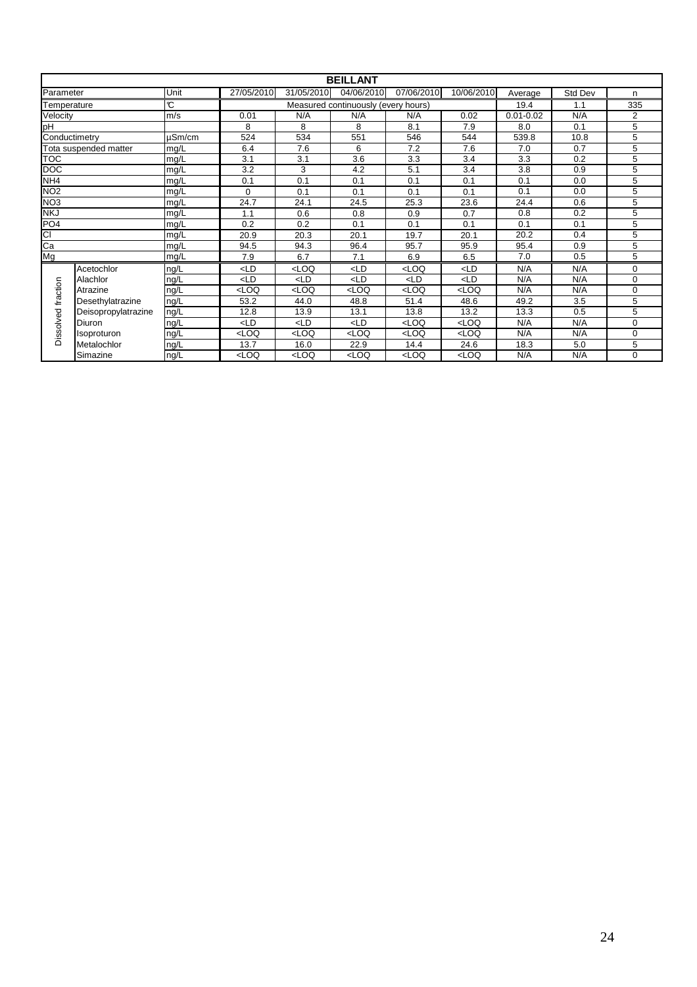|                    |                       |               |            |                                                                                                                                           | <b>BEILLANT</b>                     |            |                                                                       |               |         |                |
|--------------------|-----------------------|---------------|------------|-------------------------------------------------------------------------------------------------------------------------------------------|-------------------------------------|------------|-----------------------------------------------------------------------|---------------|---------|----------------|
| Parameter          |                       | Unit          | 27/05/2010 | 31/05/2010                                                                                                                                | 04/06/2010                          | 07/06/2010 | 10/06/2010                                                            | Average       | Std Dev | n              |
| Temperature        |                       | $\mathcal{C}$ |            |                                                                                                                                           | Measured continuously (every hours) | 19.4       | 1.1                                                                   | 335           |         |                |
| m/s<br>Velocity    |                       |               | 0.01       | N/A                                                                                                                                       | N/A                                 | N/A        | 0.02                                                                  | $0.01 - 0.02$ | N/A     | $\overline{2}$ |
| pH                 |                       |               | 8          | 8                                                                                                                                         | 8                                   | 8.1        | 7.9                                                                   | 8.0           | 0.1     | 5              |
| Conductimetry      |                       | $\mu$ Sm/cm   | 524        | 534                                                                                                                                       | 551                                 | 546        | 544                                                                   | 539.8         | 10.8    | 5              |
|                    | Tota suspended matter | mg/L          | 6.4        | 7.6                                                                                                                                       | 6                                   | 7.2        | 7.6                                                                   | 7.0           | 0.7     | 5              |
| <b>TOC</b>         |                       | mg/L          | 3.1        | 3.1                                                                                                                                       | 3.6                                 | 3.3        | 3.4                                                                   | 3.3           | 0.2     | 5              |
| <b>DOC</b>         |                       | mg/L          | 3.2        | 3                                                                                                                                         | 4.2                                 | 5.1        | 3.4                                                                   | 3.8           | 0.9     | 5              |
| NH <sub>4</sub>    |                       | mg/L          | 0.1        | 0.1                                                                                                                                       | 0.1                                 | 0.1        | 0.1                                                                   | 0.1           | 0.0     | 5              |
| NO <sub>2</sub>    |                       | mg/L          | $\Omega$   | 0.1                                                                                                                                       | 0.1                                 | 0.1        | 0.1                                                                   | 0.1           | 0.0     | 5              |
| NO <sub>3</sub>    |                       | mg/L          | 24.7       | 24.1                                                                                                                                      | 24.5                                | 25.3       | 23.6                                                                  | 24.4          | 0.6     | 5              |
| <b>NKJ</b>         |                       | mg/L          | 1.1        | 0.6                                                                                                                                       | 0.8                                 | 0.9        | 0.7                                                                   | 0.8           | 0.2     | 5              |
| PO <sub>4</sub>    |                       | mg/L          | 0.2        | 0.2                                                                                                                                       | 0.1                                 | 0.1        | 0.1                                                                   | 0.1           | 0.1     | 5              |
| СI                 |                       | mg/L          | 20.9       | 20.3                                                                                                                                      | 20.1                                | 19.7       | 20.1                                                                  | 20.2          | 0.4     | 5              |
| Ca                 |                       | mg/L          | 94.5       | 94.3                                                                                                                                      | 96.4                                | 95.7       | 95.9                                                                  | 95.4          | 0.9     | 5              |
| Mg                 |                       | mg/L          | 7.9        | 6.7                                                                                                                                       | 7.1                                 | 6.9        | 6.5                                                                   | 7.0           | 0.5     | 5              |
|                    | Acetochlor            | ng/L          | $<$ LD     | <loq< td=""><td><math>&lt;</math>LD</td><td>LOO</td><td><ld< td=""><td>N/A</td><td>N/A</td><td><math>\Omega</math></td></ld<></td></loq<> | $<$ LD                              | LOO        | <ld< td=""><td>N/A</td><td>N/A</td><td><math>\Omega</math></td></ld<> | N/A           | N/A     | $\Omega$       |
|                    | Alachlor              | ng/L          | $<$ LD     | $<$ LD                                                                                                                                    | $<$ LD                              | $<$ LD     | $<$ LD                                                                | N/A           | N/A     | 0              |
| Dissolved fraction | Atrazine              | ng/L          | LOO        | <loq< td=""><td>LOO</td><td>LOO</td><td><loq< td=""><td>N/A</td><td>N/A</td><td>0</td></loq<></td></loq<>                                 | LOO                                 | LOO        | <loq< td=""><td>N/A</td><td>N/A</td><td>0</td></loq<>                 | N/A           | N/A     | 0              |
|                    | Desethylatrazine      | ng/L          | 53.2       | 44.0                                                                                                                                      | 48.8                                | 51.4       | 48.6                                                                  | 49.2          | 3.5     | 5              |
|                    | Deisopropylatrazine   | ng/L          | 12.8       | 13.9                                                                                                                                      | 13.1                                | 13.8       | 13.2                                                                  | 13.3          | 0.5     | 5              |
|                    | Diuron                | ng/L          | $<$ LD     | $<$ LD                                                                                                                                    | $<$ LD                              | LOO        | <loq< td=""><td>N/A</td><td>N/A</td><td>0</td></loq<>                 | N/A           | N/A     | 0              |
|                    | Isoproturon           | ng/L          | LOO        | LOO                                                                                                                                       | LOO                                 | LOO        | <loq< td=""><td>N/A</td><td>N/A</td><td>0</td></loq<>                 | N/A           | N/A     | 0              |
|                    | Metalochlor           | ng/L          | 13.7       | 16.0                                                                                                                                      | 22.9                                | 14.4       | 24.6                                                                  | 18.3          | 5.0     | 5              |
|                    | Simazine              | ng/L          | LOO        | <loq< td=""><td>LOO</td><td>LOO</td><td><loq< td=""><td>N/A</td><td>N/A</td><td>0</td></loq<></td></loq<>                                 | LOO                                 | LOO        | <loq< td=""><td>N/A</td><td>N/A</td><td>0</td></loq<>                 | N/A           | N/A     | 0              |